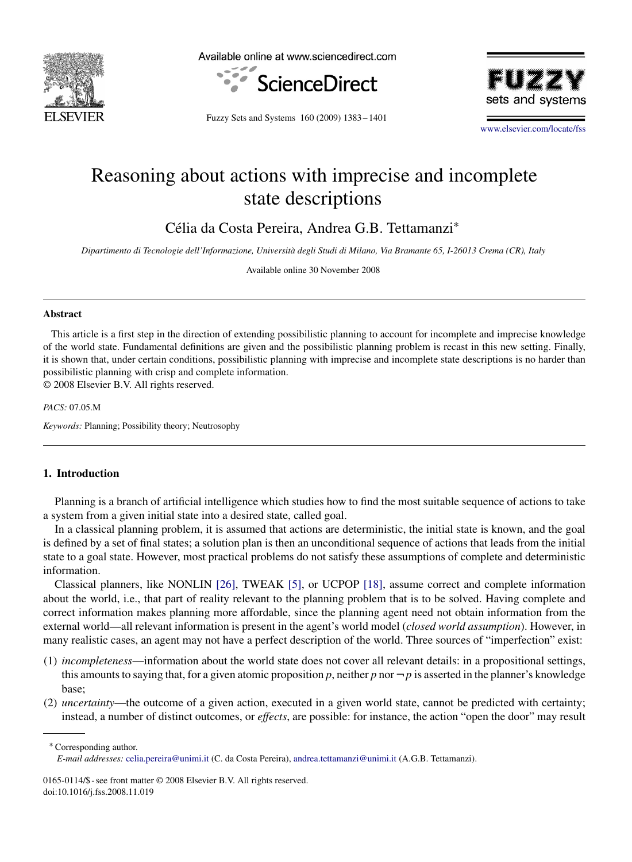

Available online at www.sciencedirect.com





Fuzzy Sets and Systems 160 (2009) 1383 – 1401

[www.elsevier.com/locate/fss](http://www.elsevier.com/locate/fss)

# Reasoning about actions with imprecise and incomplete state descriptions

Célia da Costa Pereira, Andrea G.B. Tettamanzi<sup>∗</sup>

*Dipartimento di Tecnologie dell'Informazione, Università degli Studi di Milano, Via Bramante 65, I-26013 Crema (CR), Italy*

Available online 30 November 2008

## **Abstract**

This article is a first step in the direction of extending possibilistic planning to account for incomplete and imprecise knowledge of the world state. Fundamental definitions are given and the possibilistic planning problem is recast in this new setting. Finally, it is shown that, under certain conditions, possibilistic planning with imprecise and incomplete state descriptions is no harder than possibilistic planning with crisp and complete information. © 2008 Elsevier B.V. All rights reserved.

*PACS:* 07.05.M

*Keywords:* Planning; Possibility theory; Neutrosophy

# **1. Introduction**

Planning is a branch of artificial intelligence which studies how to find the most suitable sequence of actions to take a system from a given initial state into a desired state, called goal.

In a classical planning problem, it is assumed that actions are deterministic, the initial state is known, and the goal is defined by a set of final states; a solution plan is then an unconditional sequence of actions that leads from the initial state to a goal state. However, most practical problems do not satisfy these assumptions of complete and deterministic information.

Classical planners, like NONLIN [\[26\],](#page-18-0) TWEAK [\[5\],](#page-17-0) or UCPOP [\[18\],](#page-18-1) assume correct and complete information about the world, i.e., that part of reality relevant to the planning problem that is to be solved. Having complete and correct information makes planning more affordable, since the planning agent need not obtain information from the external world—all relevant information is present in the agent's world model (*closed world assumption*). However, in many realistic cases, an agent may not have a perfect description of the world. Three sources of "imperfection" exist:

- (1) *incompleteness*—information about the world state does not cover all relevant details: in a propositional settings, this amounts to saying that, for a given atomic proposition  $p$ , neither  $p$  nor  $\neg p$  is asserted in the planner's knowledge base;
- (2) *uncertainty*—the outcome of a given action, executed in a given world state, cannot be predicted with certainty; instead, a number of distinct outcomes, or *effects*, are possible: for instance, the action "open the door" may result

<sup>∗</sup> Corresponding author.

0165-0114/\$ - see front matter © 2008 Elsevier B.V. All rights reserved. doi:10.1016/j.fss.2008.11.019

*E-mail addresses:* [celia.pereira@unimi.it](mailto:celia.pereira@unimi.it) (C. da Costa Pereira), [andrea.tettamanzi@unimi.it](mailto:andrea.tettamanzi@unimi.it) (A.G.B. Tettamanzi).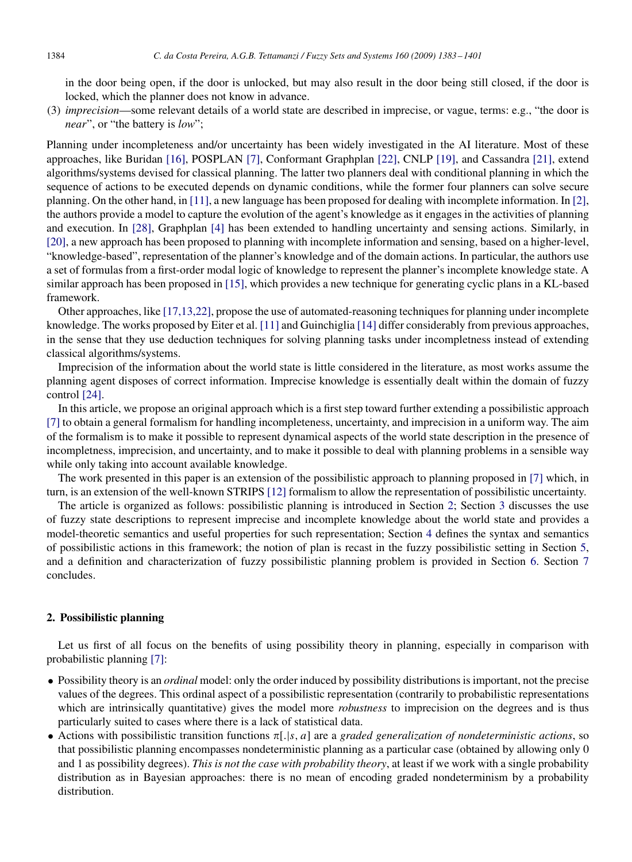in the door being open, if the door is unlocked, but may also result in the door being still closed, if the door is locked, which the planner does not know in advance.

(3) *imprecision*—some relevant details of a world state are described in imprecise, or vague, terms: e.g., "the door is *near*", or "the battery is *low*";

Planning under incompleteness and/or uncertainty has been widely investigated in the AI literature. Most of these approaches, like Buridan [\[16\],](#page-18-2) POSPLAN [\[7\],](#page-17-1) Conformant Graphplan [\[22\],](#page-18-3) CNLP [\[19\],](#page-18-4) and Cassandra [\[21\],](#page-18-5) extend algorithms/systems devised for classical planning. The latter two planners deal with conditional planning in which the sequence of actions to be executed depends on dynamic conditions, while the former four planners can solve secure planning. On the other hand, in [\[11\],](#page-17-2) a new language has been proposed for dealing with incomplete information. In [\[2\],](#page-17-3) the authors provide a model to capture the evolution of the agent's knowledge as it engages in the activities of planning and execution. In [\[28\],](#page-18-6) Graphplan [\[4\]](#page-17-4) has been extended to handling uncertainty and sensing actions. Similarly, in [\[20\],](#page-18-7) a new approach has been proposed to planning with incomplete information and sensing, based on a higher-level, "knowledge-based", representation of the planner's knowledge and of the domain actions. In particular, the authors use a set of formulas from a first-order modal logic of knowledge to represent the planner's incomplete knowledge state. A similar approach has been proposed in [\[15\],](#page-18-8) which provides a new technique for generating cyclic plans in a KL-based framework.

Other approaches, like [\[17,](#page-18-9)[13,](#page-17-5)[22\],](#page-18-3) propose the use of automated-reasoning techniques for planning under incomplete knowledge. The works proposed by Eiter et al. [\[11\]](#page-17-2) and Guinchiglia [\[14\]](#page-18-10) differ considerably from previous approaches, in the sense that they use deduction techniques for solving planning tasks under incompletness instead of extending classical algorithms/systems.

Imprecision of the information about the world state is little considered in the literature, as most works assume the planning agent disposes of correct information. Imprecise knowledge is essentially dealt within the domain of fuzzy control [\[24\].](#page-18-11)

In this article, we propose an original approach which is a first step toward further extending a possibilistic approach [\[7\]](#page-17-1) to obtain a general formalism for handling incompleteness, uncertainty, and imprecision in a uniform way. The aim of the formalism is to make it possible to represent dynamical aspects of the world state description in the presence of incompletness, imprecision, and uncertainty, and to make it possible to deal with planning problems in a sensible way while only taking into account available knowledge.

The work presented in this paper is an extension of the possibilistic approach to planning proposed in [\[7\]](#page-17-1) which, in turn, is an extension of the well-known STRIPS [\[12\]](#page-17-6) formalism to allow the representation of possibilistic uncertainty.

The article is organized as follows: possibilistic planning is introduced in Section [2;](#page-1-0) Section [3](#page-2-0) discusses the use of fuzzy state descriptions to represent imprecise and incomplete knowledge about the world state and provides a model-theoretic semantics and useful properties for such representation; Section [4](#page-6-0) defines the syntax and semantics of possibilistic actions in this framework; the notion of plan is recast in the fuzzy possibilistic setting in Section [5,](#page-11-0) and a definition and characterization of fuzzy possibilistic planning problem is provided in Section [6.](#page-12-0) Section [7](#page-17-7) concludes.

## <span id="page-1-0"></span>**2. Possibilistic planning**

Let us first of all focus on the benefits of using possibility theory in planning, especially in comparison with probabilistic planning [\[7\]:](#page-17-1)

- Possibility theory is an *ordinal* model: only the order induced by possibility distributions is important, not the precise values of the degrees. This ordinal aspect of a possibilistic representation (contrarily to probabilistic representations which are intrinsically quantitative) gives the model more *robustness* to imprecision on the degrees and is thus particularly suited to cases where there is a lack of statistical data.
- Actions with possibilistic transition functions  $\pi[.]s, a]$  are a *graded generalization of nondeterministic actions*, so that possibilistic planning encompasses nondeterministic planning as a particular case (obtained by allowing only 0 and 1 as possibility degrees). *This is not the case with probability theory*, at least if we work with a single probability distribution as in Bayesian approaches: there is no mean of encoding graded nondeterminism by a probability distribution.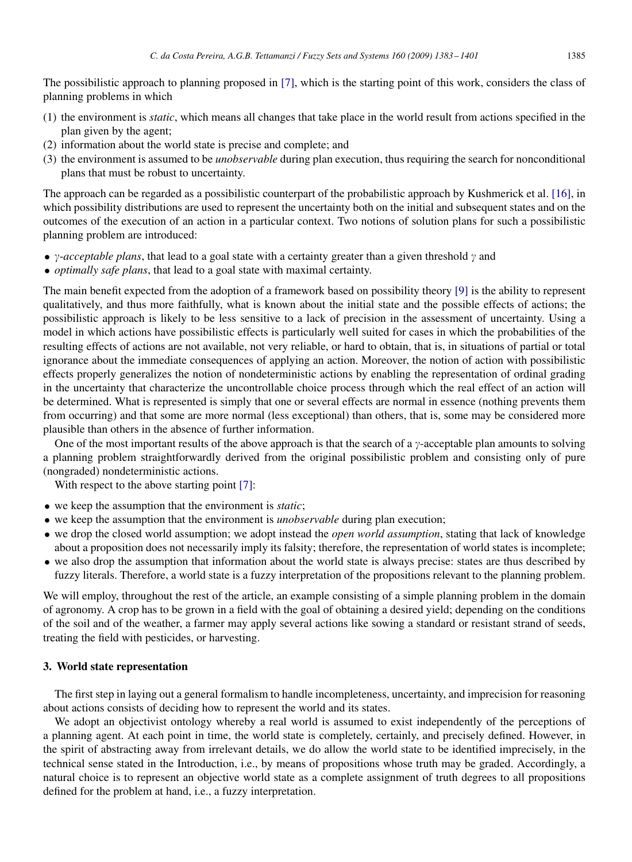The possibilistic approach to planning proposed in [\[7\],](#page-17-1) which is the starting point of this work, considers the class of planning problems in which

- (1) the environment is *static*, which means all changes that take place in the world result from actions specified in the plan given by the agent;
- (2) information about the world state is precise and complete; and
- (3) the environment is assumed to be *unobservable* during plan execution, thus requiring the search for nonconditional plans that must be robust to uncertainty.

The approach can be regarded as a possibilistic counterpart of the probabilistic approach by Kushmerick et al. [\[16\],](#page-18-2) in which possibility distributions are used to represent the uncertainty both on the initial and subsequent states and on the outcomes of the execution of an action in a particular context. Two notions of solution plans for such a possibilistic planning problem are introduced:

- $\gamma$ -acceptable plans, that lead to a goal state with a certainty greater than a given threshold  $\gamma$  and
- *optimally safe plans*, that lead to a goal state with maximal certainty.

The main benefit expected from the adoption of a framework based on possibility theory [\[9\]](#page-17-8) is the ability to represent qualitatively, and thus more faithfully, what is known about the initial state and the possible effects of actions; the possibilistic approach is likely to be less sensitive to a lack of precision in the assessment of uncertainty. Using a model in which actions have possibilistic effects is particularly well suited for cases in which the probabilities of the resulting effects of actions are not available, not very reliable, or hard to obtain, that is, in situations of partial or total ignorance about the immediate consequences of applying an action. Moreover, the notion of action with possibilistic effects properly generalizes the notion of nondeterministic actions by enabling the representation of ordinal grading in the uncertainty that characterize the uncontrollable choice process through which the real effect of an action will be determined. What is represented is simply that one or several effects are normal in essence (nothing prevents them from occurring) and that some are more normal (less exceptional) than others, that is, some may be considered more plausible than others in the absence of further information.

One of the most important results of the above approach is that the search of a  $\gamma$ -acceptable plan amounts to solving a planning problem straightforwardly derived from the original possibilistic problem and consisting only of pure (nongraded) nondeterministic actions.

With respect to the above starting point [\[7\]:](#page-17-1)

- we keep the assumption that the environment is *static*;
- we keep the assumption that the environment is *unobservable* during plan execution;
- we drop the closed world assumption; we adopt instead the *open world assumption*, stating that lack of knowledge about a proposition does not necessarily imply its falsity; therefore, the representation of world states is incomplete;
- we also drop the assumption that information about the world state is always precise: states are thus described by fuzzy literals. Therefore, a world state is a fuzzy interpretation of the propositions relevant to the planning problem.

<span id="page-2-0"></span>We will employ, throughout the rest of the article, an example consisting of a simple planning problem in the domain of agronomy. A crop has to be grown in a field with the goal of obtaining a desired yield; depending on the conditions of the soil and of the weather, a farmer may apply several actions like sowing a standard or resistant strand of seeds, treating the field with pesticides, or harvesting.

## **3. World state representation**

The first step in laying out a general formalism to handle incompleteness, uncertainty, and imprecision for reasoning about actions consists of deciding how to represent the world and its states.

We adopt an objectivist ontology whereby a real world is assumed to exist independently of the perceptions of a planning agent. At each point in time, the world state is completely, certainly, and precisely defined. However, in the spirit of abstracting away from irrelevant details, we do allow the world state to be identified imprecisely, in the technical sense stated in the Introduction, i.e., by means of propositions whose truth may be graded. Accordingly, a natural choice is to represent an objective world state as a complete assignment of truth degrees to all propositions defined for the problem at hand, i.e., a fuzzy interpretation.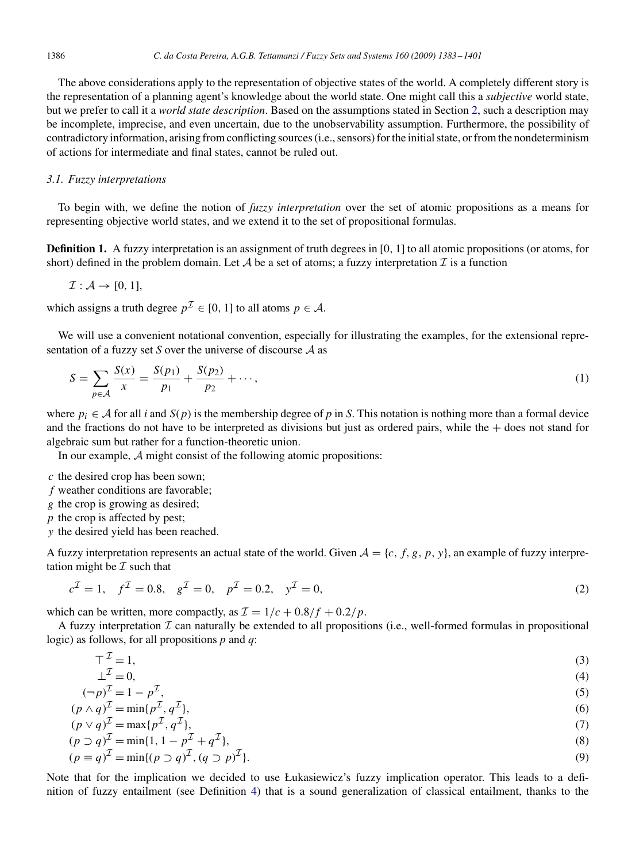The above considerations apply to the representation of objective states of the world. A completely different story is the representation of a planning agent's knowledge about the world state. One might call this a *subjective* world state, but we prefer to call it a *world state description*. Based on the assumptions stated in Section [2,](#page-1-0) such a description may be incomplete, imprecise, and even uncertain, due to the unobservability assumption. Furthermore, the possibility of contradictory information, arising from conflicting sources (i.e., sensors) for the initial state, or from the nondeterminism of actions for intermediate and final states, cannot be ruled out.

## *3.1. Fuzzy interpretations*

To begin with, we define the notion of *fuzzy interpretation* over the set of atomic propositions as a means for representing objective world states, and we extend it to the set of propositional formulas.

**Definition 1.** A fuzzy interpretation is an assignment of truth degrees in [0, 1] to all atomic propositions (or atoms, for short) defined in the problem domain. Let  $A$  be a set of atoms; a fuzzy interpretation  $I$  is a function

$$
\mathcal{I} : \mathcal{A} \to [0, 1],
$$

which assigns a truth degree  $p^{\mathcal{I}} \in [0, 1]$  to all atoms  $p \in \mathcal{A}$ .

We will use a convenient notational convention, especially for illustrating the examples, for the extensional representation of a fuzzy set *S* over the universe of discourse *A* as

$$
S = \sum_{p \in \mathcal{A}} \frac{S(x)}{x} = \frac{S(p_1)}{p_1} + \frac{S(p_2)}{p_2} + \cdots,
$$
 (1)

where  $p_i \in A$  for all *i* and  $S(p)$  is the membership degree of p in S. This notation is nothing more than a formal device and the fractions do not have to be interpreted as divisions but just as ordered pairs, while the  $+$  does not stand for algebraic sum but rather for a function-theoretic union.

In our example, *A* might consist of the following atomic propositions:

*c* the desired crop has been sown;

*f* weather conditions are favorable;

*g* the crop is growing as desired;

*p* the crop is affected by pest;

*y* the desired yield has been reached.

<span id="page-3-0"></span>A fuzzy interpretation represents an actual state of the world. Given  $A = \{c, f, g, p, y\}$ , an example of fuzzy interpretation might be *I* such that

$$
c^{\mathcal{I}} = 1
$$
,  $f^{\mathcal{I}} = 0.8$ ,  $g^{\mathcal{I}} = 0$ ,  $p^{\mathcal{I}} = 0.2$ ,  $y^{\mathcal{I}} = 0$ , (2)

which can be written, more compactly, as  $\mathcal{I} = 1/c + 0.8/f + 0.2/p$ .

A fuzzy interpretation  $\mathcal I$  can naturally be extended to all propositions (i.e., well-formed formulas in propositional logic) as follows, for all propositions *p* and *q*:

$$
\top^{\mathcal{I}} = 1,\tag{3}
$$

$$
\perp^{L} = 0,\tag{4}
$$
\n
$$
(-n)^{L} - 1 - n^{L}
$$
\n
$$
(5)
$$

$$
(\neg p)^{\perp} = 1 - p^{\perp},
$$
  
\n
$$
(p \land q)^{\perp} = \min\{p^{\perp}, q^{\perp}\},
$$
\n(6)

$$
(\rho \vee q)^{\mathcal{I}} = \max\{p^{\mathcal{I}}, q^{\mathcal{I}}\},\tag{7}
$$

$$
(p \supset q)^{\mathcal{I}} = \min\{1, 1 - p^{\mathcal{I}} + q^{\mathcal{I}}\},\tag{8}
$$

$$
(p \equiv q)^{\mathcal{L}} = \min\{(p \supset q)^{\mathcal{L}}, (q \supset p)^{\mathcal{L}}\}.
$$
\n(9)

Note that for the implication we decided to use Łukasiewicz's fuzzy implication operator. This leads to a definition of fuzzy entailment (see Definition [4\)](#page-6-1) that is a sound generalization of classical entailment, thanks to the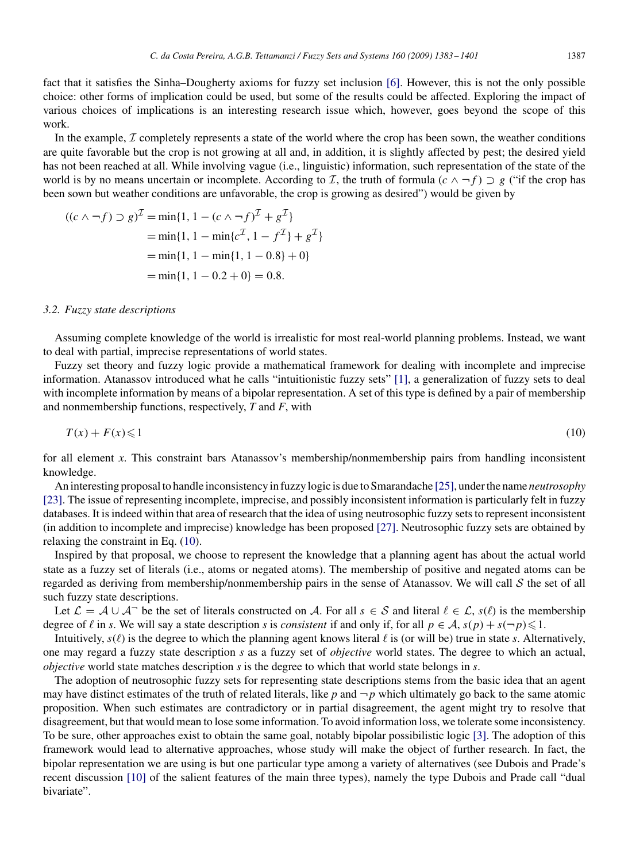fact that it satisfies the Sinha–Dougherty axioms for fuzzy set inclusion [\[6\].](#page-17-9) However, this is not the only possible choice: other forms of implication could be used, but some of the results could be affected. Exploring the impact of various choices of implications is an interesting research issue which, however, goes beyond the scope of this work.

In the example, *I* completely represents a state of the world where the crop has been sown, the weather conditions are quite favorable but the crop is not growing at all and, in addition, it is slightly affected by pest; the desired yield has not been reached at all. While involving vague (i.e., linguistic) information, such representation of the state of the world is by no means uncertain or incomplete. According to *I*, the truth of formula  $(c \wedge \neg f) \supset g$  ("if the crop has been sown but weather conditions are unfavorable, the crop is growing as desired") would be given by

$$
((c \wedge \neg f) \supset g)^2 = \min\{1, 1 - (c \wedge \neg f)^2 + g^2\}
$$
  
=  $\min\{1, 1 - \min\{c^{\mathcal{I}}, 1 - f^{\mathcal{I}}\} + g^{\mathcal{I}}\}$   
=  $\min\{1, 1 - \min\{1, 1 - 0.8\} + 0\}$   
=  $\min\{1, 1 - 0.2 + 0\} = 0.8$ .

## *3.2. Fuzzy state descriptions*

Assuming complete knowledge of the world is irrealistic for most real-world planning problems. Instead, we want to deal with partial, imprecise representations of world states.

Fuzzy set theory and fuzzy logic provide a mathematical framework for dealing with incomplete and imprecise information. Atanassov introduced what he calls "intuitionistic fuzzy sets" [\[1\],](#page-17-10) a generalization of fuzzy sets to deal with incomplete information by means of a bipolar representation. A set of this type is defined by a pair of membership and nonmembership functions, respectively, *T* and *F*, with

<span id="page-4-0"></span>
$$
T(x) + F(x) \leq 1 \tag{10}
$$

for all element *x*. This constraint bars Atanassov's membership/nonmembership pairs from handling inconsistent knowledge.

An interesting proposal to handle inconsistency in fuzzy logic is due to Smarandache [\[25\],](#page-18-12) under the name *neutrosophy* [\[23\].](#page-18-13) The issue of representing incomplete, imprecise, and possibly inconsistent information is particularly felt in fuzzy databases. It is indeed within that area of research that the idea of using neutrosophic fuzzy sets to represent inconsistent (in addition to incomplete and imprecise) knowledge has been proposed [\[27\].](#page-18-14) Neutrosophic fuzzy sets are obtained by relaxing the constraint in Eq. [\(10\)](#page-4-0).

Inspired by that proposal, we choose to represent the knowledge that a planning agent has about the actual world state as a fuzzy set of literals (i.e., atoms or negated atoms). The membership of positive and negated atoms can be regarded as deriving from membership/nonmembership pairs in the sense of Atanassov. We will call *S* the set of all such fuzzy state descriptions.

Let  $\mathcal{L} = \mathcal{A} \cup \mathcal{A}$  be the set of literals constructed on *A*. For all  $s \in \mathcal{S}$  and literal  $\ell \in \mathcal{L}$ ,  $s(\ell)$  is the membership degree of  $\ell$  in *s*. We will say a state description *s* is *consistent* if and only if, for all  $p \in A$ ,  $s(p) + s(\neg p) \leq 1$ .

Intuitively,  $s(\ell)$  is the degree to which the planning agent knows literal  $\ell$  is (or will be) true in state *s*. Alternatively, one may regard a fuzzy state description *s* as a fuzzy set of *objective* world states. The degree to which an actual, *objective* world state matches description *s* is the degree to which that world state belongs in *s*.

The adoption of neutrosophic fuzzy sets for representing state descriptions stems from the basic idea that an agent may have distinct estimates of the truth of related literals, like  $p$  and  $\neg p$  which ultimately go back to the same atomic proposition. When such estimates are contradictory or in partial disagreement, the agent might try to resolve that disagreement, but that would mean to lose some information. To avoid information loss, we tolerate some inconsistency. To be sure, other approaches exist to obtain the same goal, notably bipolar possibilistic logic [\[3\].](#page-17-11) The adoption of this framework would lead to alternative approaches, whose study will make the object of further research. In fact, the bipolar representation we are using is but one particular type among a variety of alternatives (see Dubois and Prade's recent discussion [\[10\]](#page-17-12) of the salient features of the main three types), namely the type Dubois and Prade call "dual bivariate".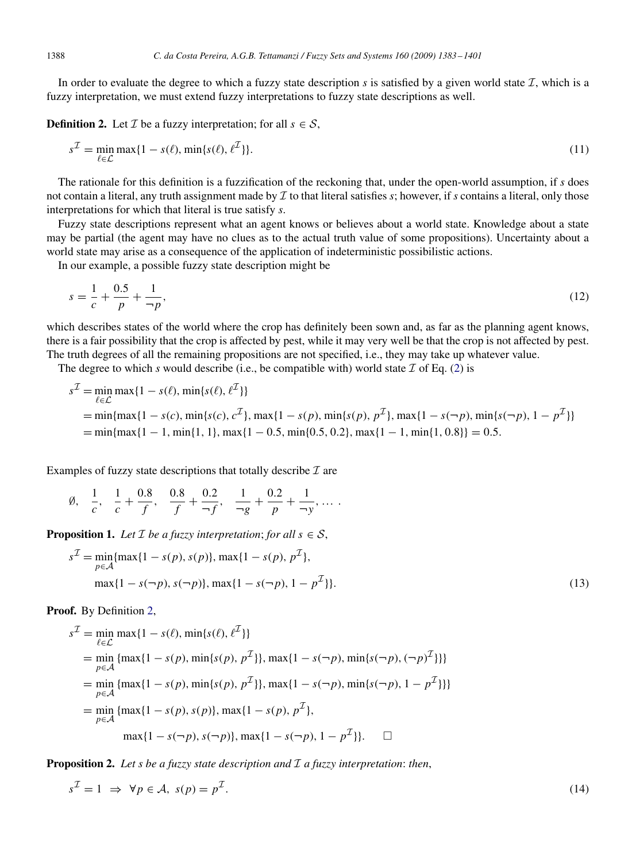In order to evaluate the degree to which a fuzzy state description *s* is satisfied by a given world state  $I$ , which is a fuzzy interpretation, we must extend fuzzy interpretations to fuzzy state descriptions as well.

**Definition 2.** Let *I* be a fuzzy interpretation; for all  $s \in S$ ,

<span id="page-5-0"></span>
$$
s^{\mathcal{I}} = \min_{\ell \in \mathcal{L}} \max\{1 - s(\ell), \min\{s(\ell), \ell^{\mathcal{I}}\}\}.
$$
\n(11)

The rationale for this definition is a fuzzification of the reckoning that, under the open-world assumption, if *s* does not contain a literal, any truth assignment made by *I* to that literal satisfies *s*; however, if *s* contains a literal, only those interpretations for which that literal is true satisfy *s*.

Fuzzy state descriptions represent what an agent knows or believes about a world state. Knowledge about a state may be partial (the agent may have no clues as to the actual truth value of some propositions). Uncertainty about a world state may arise as a consequence of the application of indeterministic possibilistic actions.

In our example, a possible fuzzy state description might be

<span id="page-5-2"></span>
$$
s = \frac{1}{c} + \frac{0.5}{p} + \frac{1}{-p},\tag{12}
$$

which describes states of the world where the crop has definitely been sown and, as far as the planning agent knows, there is a fair possibility that the crop is affected by pest, while it may very well be that the crop is not affected by pest. The truth degrees of all the remaining propositions are not specified, i.e., they may take up whatever value.

The degree to which *s* would describe (i.e., be compatible with) world state  $\mathcal I$  of Eq. [\(2\)](#page-3-0) is

$$
s^{\mathcal{I}} = \min_{\ell \in \mathcal{L}} \max\{1 - s(\ell), \min\{s(\ell), \ell^{\mathcal{I}}\}\}
$$
  
= min{max{1 – s(c), min{s(c), c <sup>$\mathcal{I}$</sup> }, max{1 – s(p), min{s(p), p <sup>$\mathcal{I}$</sup> }, max{1 – s(¬p), min{s(¬p), 1 – p <sup>$\mathcal{I}$</sup> }}  
= min{max{1 – 1, min{1, 1}, max{1 – 0.5, min{0.5, 0.2}}, max{1 – 1, min{1, 0.8}} = 0.5.

Examples of fuzzy state descriptions that totally describe *I* are

<span id="page-5-1"></span>
$$
\emptyset
$$
,  $\frac{1}{c}$ ,  $\frac{1}{c} + \frac{0.8}{f}$ ,  $\frac{0.8}{f} + \frac{0.2}{-f}$ ,  $\frac{1}{-g} + \frac{0.2}{p} + \frac{1}{-y}$ , ...

**Proposition 1.** *Let*  $I$  *be a fuzzy interpretation; for all*  $s \in S$ ,

$$
s^{\mathcal{I}} = \min_{p \in \mathcal{A}} \{ \max\{1 - s(p), s(p)\}, \max\{1 - s(p), p^{\mathcal{I}}\},\
$$
  

$$
\max\{1 - s(\neg p), s(\neg p)\}, \max\{1 - s(\neg p), 1 - p^{\mathcal{I}}\} \}. \tag{13}
$$

**Proof.** By Definition [2,](#page-5-0)

$$
s^{\mathcal{I}} = \min_{\ell \in \mathcal{L}} \max\{1 - s(\ell), \min\{s(\ell), \ell^{\mathcal{I}}\}\}\
$$
  
=  $\min_{p \in \mathcal{A}} \{\max\{1 - s(p), \min\{s(p), p^{\mathcal{I}}\}\}, \max\{1 - s(\neg p), \min\{s(\neg p), (\neg p)^{\mathcal{I}}\}\}\}\}\$   
=  $\min_{p \in \mathcal{A}} \{\max\{1 - s(p), \min\{s(p), p^{\mathcal{I}}\}\}, \max\{1 - s(\neg p), \min\{s(\neg p), 1 - p^{\mathcal{I}}\}\}\}\}$   
=  $\min_{p \in \mathcal{A}} \{\max\{1 - s(p), s(p)\}, \max\{1 - s(p), p^{\mathcal{I}}\}, \max\{1 - s(\neg p), 1 - p^{\mathcal{I}}\}\}\$ .  $\square$ 

**Proposition 2.** *Let s be a fuzzy state description and I a fuzzy interpretation*: *then*,

$$
s^{\mathcal{I}} = 1 \implies \forall p \in \mathcal{A}, \ s(p) = p^{\mathcal{I}}. \tag{14}
$$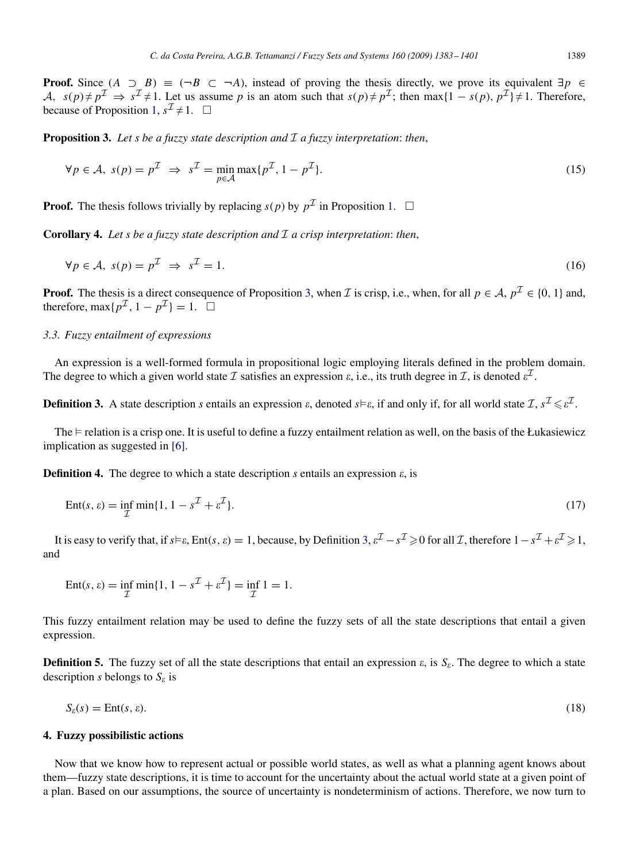**Proof.** Since  $(A \supset B) \equiv (\neg B \subset \neg A)$ , instead of proving the thesis directly, we prove its equivalent  $\exists p \in A$ A,  $s(p) \neq p^{\mathcal{I}} \Rightarrow s^{\mathcal{I}} \neq 1$ . Let us assume p is an atom such that  $s(p) \neq p^{\mathcal{I}}$ ; then  $\max\{1 - s(p), p^{\mathcal{I}}\} \neq 1$ . Therefore, because of Proposition [1,](#page-5-1)  $s^{\mathcal{I}} \neq 1$ .  $\Box$ 

<span id="page-6-2"></span>**Proposition 3.** *Let s be a fuzzy state description and I a fuzzy interpretation*: *then*,

$$
\forall p \in \mathcal{A}, \ s(p) = p^{\mathcal{I}} \Rightarrow s^{\mathcal{I}} = \min_{p \in \mathcal{A}} \max\{p^{\mathcal{I}}, 1 - p^{\mathcal{I}}\}. \tag{15}
$$

**Proof.** The thesis follows trivially by replacing  $s(p)$  by  $p^{\mathcal{I}}$  in Proposition [1.](#page-5-1)  $\Box$ 

**Corollary 4.** *Let s be a fuzzy state description and I a crisp interpretation*: *then*,

<span id="page-6-3"></span>
$$
\forall p \in \mathcal{A}, \ s(p) = p^{\mathcal{I}} \ \Rightarrow \ s^{\mathcal{I}} = 1. \tag{16}
$$

**Proof.** The thesis is a direct consequence of Proposition [3,](#page-6-2) when *I* is crisp, i.e., when, for all  $p \in A$ ,  $p^{\mathcal{I}} \in \{0, 1\}$  and, therefore, max $\{p^{\mathcal{I}}, 1 - p^{\mathcal{I}}\} = 1$ .  $\Box$ 

# *3.3. Fuzzy entailment of expressions*

An expression is a well-formed formula in propositional logic employing literals defined in the problem domain. The degree to which a given world state *I* satisfies an expression  $\varepsilon$ , i.e., its truth degree in *I*, is denoted  $\varepsilon^{\mathcal{I}}$ .

<span id="page-6-1"></span>**Definition 3.** A state description *s* entails an expression  $\varepsilon$ , denoted  $s \models \varepsilon$ , if and only if, for all world state  $\mathcal{I}, s^{\mathcal{I}} \leq \varepsilon^{\mathcal{I}}$ .

The  $\models$  relation is a crisp one. It is useful to define a fuzzy entailment relation as well, on the basis of the Łukasiewicz implication as suggested in [\[6\].](#page-17-9)

**Definition 4.** The degree to which a state description *s* entails an expression  $\varepsilon$ , is

$$
Ent(s, \varepsilon) = \inf_{\mathcal{I}} \min\{1, 1 - s^{\mathcal{I}} + \varepsilon^{\mathcal{I}}\}.
$$
\n(17)

It is easy to verify that, if  $s \models \varepsilon$ , Ent $(s, \varepsilon) = 1$ , because, by Definition [3,](#page-6-3)  $\varepsilon^{\mathcal{I}} - s^{\mathcal{I}} \ge 0$  for all *I*, therefore  $1 - s^{\mathcal{I}} + \varepsilon^{\mathcal{I}} \ge 1$ . and

Ent(s, 
$$
\varepsilon
$$
) = inf min{1, 1 - s<sup>T</sup> +  $\varepsilon$ <sup>T</sup>} = inf T = 1.

This fuzzy entailment relation may be used to define the fuzzy sets of all the state descriptions that entail a given expression.

<span id="page-6-0"></span>**Definition 5.** The fuzzy set of all the state descriptions that entail an expression  $\varepsilon$ , is  $S_{\varepsilon}$ . The degree to which a state description *s* belongs to  $S_{\varepsilon}$  is

$$
S_{\varepsilon}(s) = \text{Ent}(s, \varepsilon). \tag{18}
$$

# **4. Fuzzy possibilistic actions**

Now that we know how to represent actual or possible world states, as well as what a planning agent knows about them—fuzzy state descriptions, it is time to account for the uncertainty about the actual world state at a given point of a plan. Based on our assumptions, the source of uncertainty is nondeterminism of actions. Therefore, we now turn to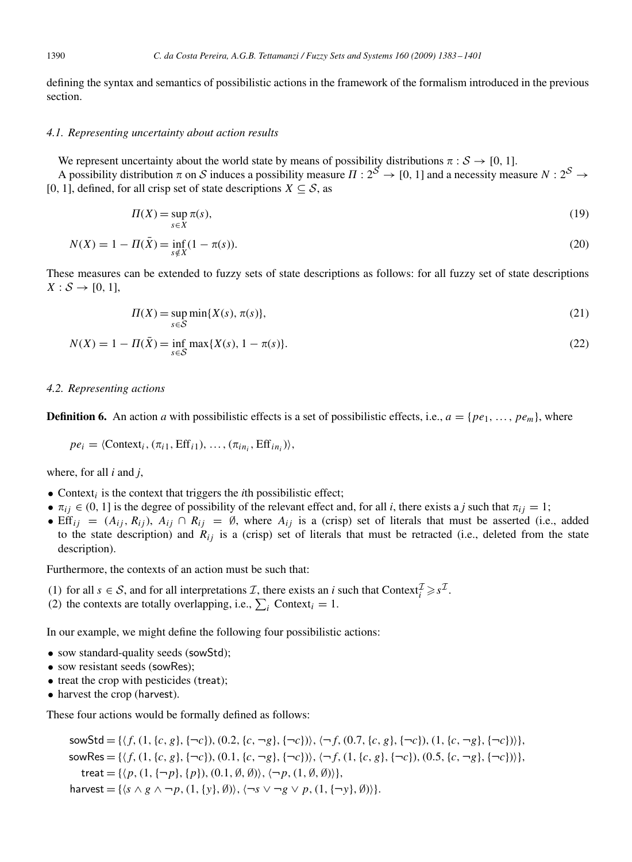defining the syntax and semantics of possibilistic actions in the framework of the formalism introduced in the previous section.

# <span id="page-7-0"></span>*4.1. Representing uncertainty about action results*

We represent uncertainty about the world state by means of possibility distributions  $\pi : S \to [0, 1]$ .

A possibility distribution  $\pi$  on  $S$  induces a possibility measure  $\Pi$  :  $2^S \rightarrow [0, 1]$  and a necessity measure  $N : 2^S \rightarrow$ [0, 1], defined, for all crisp set of state descriptions  $X \subseteq S$ , as

$$
\Pi(X) = \sup_{s \in X} \pi(s),\tag{19}
$$

$$
N(X) = 1 - \Pi(\bar{X}) = \inf_{s \notin X} (1 - \pi(s)).
$$
\n(20)

These measures can be extended to fuzzy sets of state descriptions as follows: for all fuzzy set of state descriptions  $X: \mathcal{S} \rightarrow [0, 1],$ 

$$
\Pi(X) = \sup_{s \in \mathcal{S}} \min\{X(s), \pi(s)\},\tag{21}
$$

$$
N(X) = 1 - \Pi(\bar{X}) = \inf_{s \in \mathcal{S}} \max\{X(s), 1 - \pi(s)\}.
$$
\n(22)

## <span id="page-7-1"></span>*4.2. Representing actions*

**Definition 6.** An action *a* with possibilistic effects is a set of possibilistic effects, i.e.,  $a = \{pe_1, \ldots, pe_m\}$ , where

$$
pe_i = \langle \text{Context}_i, (\pi_{i1}, \text{Eff}_{i1}), \dots, (\pi_{in_i}, \text{Eff}_{in_i}) \rangle
$$

where, for all *i* and *j*,

- Context*<sup>i</sup>* is the context that triggers the *i*th possibilistic effect;
- $\pi_{ij} \in (0, 1]$  is the degree of possibility of the relevant effect and, for all *i*, there exists a *j* such that  $\pi_{ij} = 1$ ;
- Eff<sub>ij</sub> =  $(A_{ij}, R_{ij})$ ,  $A_{ij} \cap R_{ij} = \emptyset$ , where  $A_{ij}$  is a (crisp) set of literals that must be asserted (i.e., added to the state description) and  $R_{ij}$  is a (crisp) set of literals that must be retracted (i.e., deleted from the state description).

Furthermore, the contexts of an action must be such that:

- (1) for all  $s \in S$ , and for all interpretations *I*, there exists an *i* such that Context $i^2 \geq s^2$ .
- (2) the contexts are totally overlapping, i.e.,  $\sum_i$  Context<sub>i</sub> = 1.

In our example, we might define the following four possibilistic actions:

- sow standard-quality seeds (sowStd);
- sow resistant seeds (sowRes);
- treat the crop with pesticides (treat);
- harvest the crop (harvest).

These four actions would be formally defined as follows:

sowStd = { $\{(f, (1, \{c, g\}, \{\neg c\}), (0.2, \{c, \neg g\}, \{\neg c\}))$ ,  $\langle \neg f, (0.7, \{c, g\}, \{\neg c\}), (1, \{c, \neg g\}, \{\neg c\})\rangle\}$ , sowRes = { $\{(f, (1, \{c, g\}, \{\neg c\}), (0.1, \{c, \neg g\}, \{\neg c\})\}, \{\neg f, (1, \{c, g\}, \{\neg c\}), (0.5, \{c, \neg g\}, \{\neg c\})\})\},$ treat = { $\{p, (1, \{-p\}, \{p\}), (0.1, \emptyset, \emptyset) \}, \{-p, (1, \emptyset, \emptyset) \},\}$ harvest = { $\langle s \wedge g \wedge \neg p, (1, \{y\}, \emptyset) \rangle$ ,  $\langle \neg s \vee \neg g \vee p, (1, \{\neg y\}, \emptyset) \rangle$ }.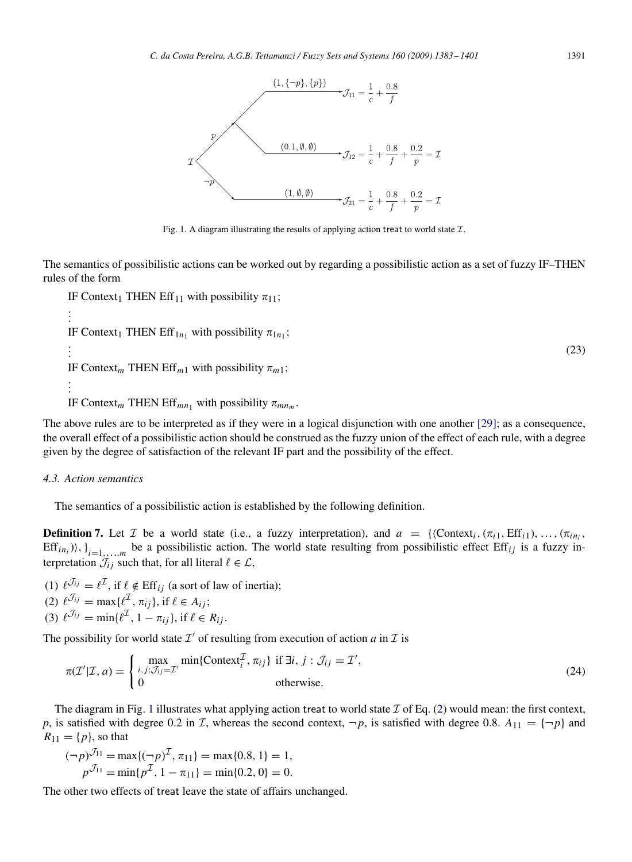

<span id="page-8-0"></span>Fig. 1. A diagram illustrating the results of applying action treat to world state *<sup>I</sup>*.

The semantics of possibilistic actions can be worked out by regarding a possibilistic action as a set of fuzzy IF–THEN rules of the form

IF Context<sub>1</sub> THEN Eff<sub>11</sub> with possibility  $\pi_{11}$ ; *. . .* IF Context<sub>1</sub> THEN Eff<sub>1*n*<sub>1</sub></sub> with possibility  $\pi_{1n_1}$ ; *. . .* IF Context<sub>*m*</sub> THEN Eff<sub>*m*1</sub> with possibility  $\pi_{m1}$ ; *. . .*

IF Context<sub>m</sub> THEN Eff<sub>mn<sub>1</sub></sub> with possibility  $\pi_{mn}$ .

The above rules are to be interpreted as if they were in a logical disjunction with one another [\[29\];](#page-18-15) as a consequence, the overall effect of a possibilistic action should be construed as the fuzzy union of the effect of each rule, with a degree given by the degree of satisfaction of the relevant IF part and the possibility of the effect.

## *4.3. Action semantics*

The semantics of a possibilistic action is established by the following definition.

**Definition 7.** Let *I* be a world state (i.e., a fuzzy interpretation), and  $a = \{(\text{Context}_i, (\pi_{i1}, \text{Eff}_{i1}), \dots, (\pi_{in_i}, \pi_{i1}, \text{aff}_{i2}), \dots, (\pi_{in_i}, \pi_{in_i}, \pi_{in_i}, \pi_{out_i}, \pi_{out_i}, \pi_{out_i}, \pi_{out_i}, \pi_{out_i}, \pi_{out_i}, \pi_{out_i}, \pi_{out_i}, \pi_{out_i}, \pi_{out_i}, \pi_{out_i}, \pi_{out_i}, \pi$  $\text{Eff}_{in_i}$ ),  $\}$ <sub>i=1,...,*m*</sub> be a possibilistic action. The world state resulting from possibilistic effect Eff<sub>*ij*</sub> is a fuzzy interpretation  $\mathcal{J}_{ij}$  such that, for all literal  $\ell \in \mathcal{L}$ ,

(1)  $\ell^{J_{ij}} = \ell^{\perp}$ , if  $\ell \notin \text{Eff}_{ij}$  (a sort of law of inertia);

- $(2) \ell^{J_{ij}} = \max\{\ell^{\perp}, \pi_{ij}\}, \text{if } \ell \in A_{ij};$
- (3)  $\ell^{J_{ij}} = \min\{\ell^{\perp}, 1 \pi_{ij}\}, \text{if } \ell \in R_{ij}.$

The possibility for world state  $\mathcal{I}'$  of resulting from execution of action *a* in  $\mathcal{I}$  is

$$
\pi(\mathcal{I}'|\mathcal{I}, a) = \begin{cases} \max_{i, j: \mathcal{J}_{ij} = \mathcal{I}'} \min\{\text{Context}_{i}^{\mathcal{I}}, \pi_{ij}\} \text{ if } \exists i, j: \mathcal{J}_{ij} = \mathcal{I}',\\ 0 \text{ otherwise.} \end{cases}
$$
(24)

The diagram in Fig. [1](#page-8-0) illustrates what applying action treat to world state  $\mathcal I$  of Eq. [\(2\)](#page-3-0) would mean: the first context, *p*, is satisfied with degree 0.2 in *I*, whereas the second context,  $\neg p$ , is satisfied with degree 0.8.  $A_{11} = \{\neg p\}$  and  $R_{11} = \{p\}$ , so that

$$
(\neg p)^{\mathcal{J}_{11}} = \max\{ (\neg p)^{\mathcal{I}}, \pi_{11} \} = \max\{0.8, 1\} = 1,
$$
  

$$
p^{\mathcal{J}_{11}} = \min\{p^{\mathcal{I}}, 1 - \pi_{11}\} = \min\{0.2, 0\} = 0.
$$

The other two effects of treat leave the state of affairs unchanged.

(23)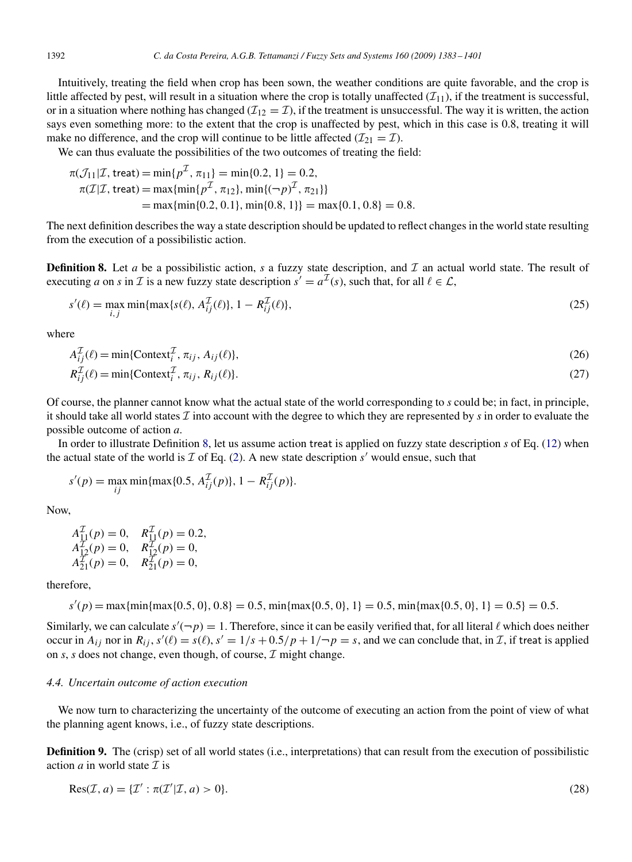Intuitively, treating the field when crop has been sown, the weather conditions are quite favorable, and the crop is little affected by pest, will result in a situation where the crop is totally unaffected  $(\mathcal{I}_{11})$ , if the treatment is successful, or in a situation where nothing has changed  $(\mathcal{I}_{12} = \mathcal{I})$ , if the treatment is unsuccessful. The way it is written, the action says even something more: to the extent that the crop is unaffected by pest, which in this case is 0.8, treating it will make no difference, and the crop will continue to be little affected  $(\mathcal{I}_{21} = \mathcal{I})$ .

We can thus evaluate the possibilities of the two outcomes of treating the field:

<span id="page-9-0"></span>
$$
\pi(\mathcal{J}_{11}|\mathcal{I}, \text{treat}) = \min\{p^{\mathcal{I}}, \pi_{11}\} = \min\{0.2, 1\} = 0.2,
$$
  
\n
$$
\pi(\mathcal{I}|\mathcal{I}, \text{treat}) = \max\{\min\{p^{\mathcal{I}}, \pi_{12}\}, \min\{(-p)^{\mathcal{I}}, \pi_{21}\}\}
$$
  
\n
$$
= \max\{\min\{0.2, 0.1\}, \min\{0.8, 1\}\} = \max\{0.1, 0.8\} = 0.8.
$$

The next definition describes the way a state description should be updated to reflect changes in the world state resulting from the execution of a possibilistic action.

**Definition 8.** Let *a* be a possibilistic action, *s* a fuzzy state description, and *I* an actual world state. The result of executing *a* on *s* in *I* is a new fuzzy state description  $s' = a^{\mathcal{I}}(s)$ , such that, for all  $\ell \in \mathcal{L}$ ,

$$
s'(\ell) = \max_{i,j} \min\{\max\{s(\ell), A_{ij}^{\mathcal{I}}(\ell)\}, 1 - R_{ij}^{\mathcal{I}}(\ell)\},\tag{25}
$$

where

$$
A_{ij}^{\mathcal{I}}(\ell) = \min\{\text{Context}_{i}^{\mathcal{I}}, \pi_{ij}, A_{ij}(\ell)\},\tag{26}
$$

$$
R_{ij}^L(\ell) = \min\{\text{Context}_i^L, \pi_{ij}, R_{ij}(\ell)\}.
$$
\n(27)

Of course, the planner cannot know what the actual state of the world corresponding to *s* could be; in fact, in principle, it should take all world states *I* into account with the degree to which they are represented by *s* in order to evaluate the possible outcome of action *a*.

In order to illustrate Definition [8,](#page-9-0) let us assume action treat is applied on fuzzy state description *s* of Eq. [\(12\)](#page-5-2) when the actual state of the world is  $\mathcal I$  of Eq. [\(2\)](#page-3-0). A new state description  $s'$  would ensue, such that

$$
s'(p) = \max_{ij} \min\{\max\{0.5, A_{ij}^{\mathcal{I}}(p)\}, 1 - R_{ij}^{\mathcal{I}}(p)\}.
$$

Now,

$$
A_{11}^T(p) = 0, \quad R_{11}^T(p) = 0.2, A_{12}^T(p) = 0, \quad R_{12}^T(p) = 0, A_{21}^T(p) = 0, \quad R_{21}^T(p) = 0,
$$

therefore,

$$
s'(p) = \max{\min{\max{0.5, 0}, 0.8}} = 0.5, \min{\max{0.5, 0}, 1} = 0.5, \min{\max{0.5, 0}, 1} = 0.5 = 0.5
$$

Similarly, we can calculate  $s'(\neg p) = 1$ . Therefore, since it can be easily verified that, for all literal  $\ell$  which does neither occur in  $A_{ij}$  nor in  $R_{ij}$ ,  $s'(\ell) = s(\ell)$ ,  $s' = 1/s + 0.5/p + 1/\neg p = s$ , and we can conclude that, in *I*, if treat is applied on *s*, *s* does not change, even though, of course, *I* might change.

#### *4.4. Uncertain outcome of action execution*

We now turn to characterizing the uncertainty of the outcome of executing an action from the point of view of what the planning agent knows, i.e., of fuzzy state descriptions.

**Definition 9.** The (crisp) set of all world states (i.e., interpretations) that can result from the execution of possibilistic action *a* in world state *I* is

$$
Res(\mathcal{I}, a) = \{ \mathcal{I}' : \pi(\mathcal{I}'|\mathcal{I}, a) > 0 \}. \tag{28}
$$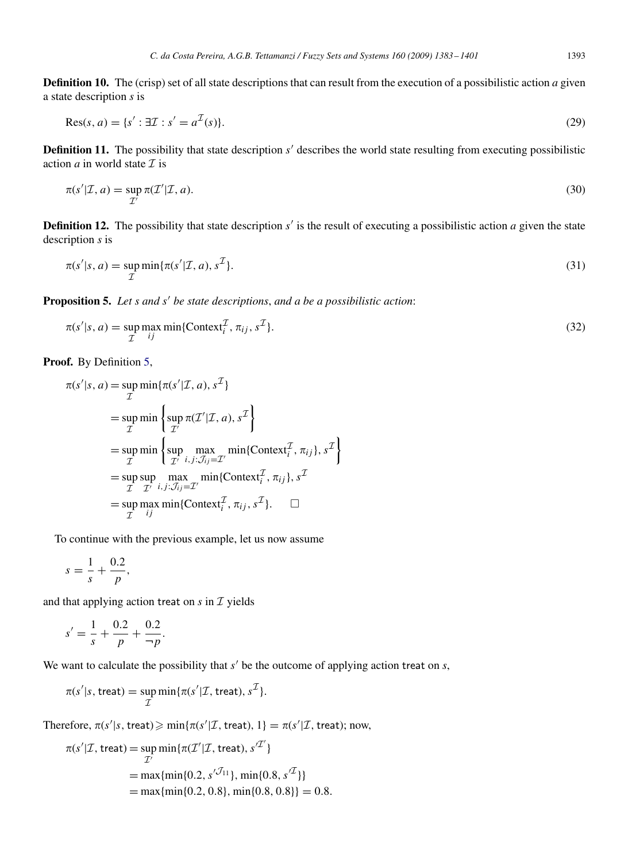**Definition 10.** The (crisp) set of all state descriptions that can result from the execution of a possibilistic action *a* given a state description *s* is

$$
Res(s, a) = \{s' : \exists \mathcal{I} : s' = a^{\mathcal{I}}(s)\}.
$$
\n(29)

**Definition 11.** The possibility that state description  $s'$  describes the world state resulting from executing possibilistic action *a* in world state *I* is

$$
\pi(s'|\mathcal{I}, a) = \sup_{\mathcal{I}'} \pi(\mathcal{I}'|\mathcal{I}, a). \tag{30}
$$

**Definition 12.** The possibility that state description  $s'$  is the result of executing a possibilistic action *a* given the state description *s* is

$$
\pi(s'|s, a) = \sup_{\mathcal{I}} \min{\pi(s'| \mathcal{I}, a), s^{\mathcal{I}}}. \tag{31}
$$

<span id="page-10-0"></span>**Proposition 5.** Let s and s' be state descriptions, and a be a possibilistic action:

$$
\pi(s'|s, a) = \sup_{\mathcal{I}} \max_{ij} \min\{\text{Context}_{i}^{\mathcal{I}}, \pi_{ij}, s^{\mathcal{I}}\}.
$$
\n(32)

**Proof.** By Definition [5,](#page-10-0)

$$
\pi(s'|s, a) = \sup_{\mathcal{I}} \min{\pi(s'| \mathcal{I}, a), s^{\mathcal{I}}}
$$
\n
$$
= \sup_{\mathcal{I}} \min\left\{\sup_{\mathcal{I}'} \pi(\mathcal{I}'|\mathcal{I}, a), s^{\mathcal{I}}\right\}
$$
\n
$$
= \sup_{\mathcal{I}} \min\left\{\sup_{\mathcal{I}'} \max_{i, j: \mathcal{J}_{ij} = \mathcal{I}'} \min{\{\text{Context}_{i}^{\mathcal{I}}, \pi_{ij}\}, s^{\mathcal{I}}\}}
$$
\n
$$
= \sup_{\mathcal{I}} \sup_{\mathcal{I}'} \max_{i, j: \mathcal{J}_{ij} = \mathcal{I}'} \min{\{\text{Context}_{i}^{\mathcal{I}}, \pi_{ij}\}, s^{\mathcal{I}}}
$$
\n
$$
= \sup_{\mathcal{I}} \max_{i, j} \min{\{\text{Context}_{i}^{\mathcal{I}}, \pi_{ij}, s^{\mathcal{I}}\}}.
$$

To continue with the previous example, let us now assume

$$
s = \frac{1}{s} + \frac{0.2}{p},
$$

and that applying action treat on  $s$  in  $\mathcal I$  yields

$$
s' = \frac{1}{s} + \frac{0.2}{p} + \frac{0.2}{-p}.
$$

We want to calculate the possibility that  $s'$  be the outcome of applying action treat on  $s$ ,

$$
\pi(s'|s, \text{treat}) = \sup_{\mathcal{I}} \min \{ \pi(s'| \mathcal{I}, \text{treat}), s^{\mathcal{I}} \}.
$$

Therefore,  $\pi(s'|s, \text{treat}) \geqslant \min\{\pi(s'| \mathcal{I}, \text{treat}), 1\} = \pi(s'| \mathcal{I}, \text{treat})$ ; now,

$$
\pi(s'|\mathcal{I}, \text{treat}) = \sup_{\mathcal{I}'} \min{\pi(\mathcal{I}'|\mathcal{I}, \text{treat}), s'^{\mathcal{I}'}}
$$
  
= max{min{0.2, s'^{\mathcal{I}\_{11}}}, min{0.8, s'^{\mathcal{I}}}}  
= max{min{0.2, 0.8}, min{0.8, 0.8}} = 0.8.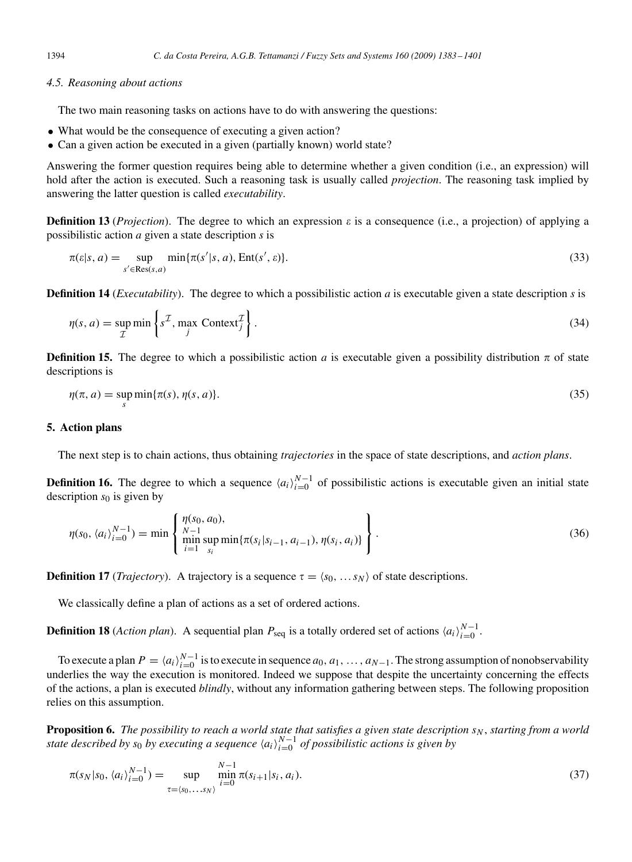## *4.5. Reasoning about actions*

The two main reasoning tasks on actions have to do with answering the questions:

- What would be the consequence of executing a given action?
- Can a given action be executed in a given (partially known) world state?

Answering the former question requires being able to determine whether a given condition (i.e., an expression) will hold after the action is executed. Such a reasoning task is usually called *projection*. The reasoning task implied by answering the latter question is called *executability*.

**Definition 13** (*Projection*). The degree to which an expression  $\varepsilon$  is a consequence (i.e., a projection) of applying a possibilistic action *a* given a state description *s* is

$$
\pi(\varepsilon|s, a) = \sup_{s' \in \text{Res}(s, a)} \min{\pi(s'|s, a), \text{Ent}(s', \varepsilon)}.
$$
\n(33)

**Definition 14** (*Executability*). The degree to which a possibilistic action *a* is executable given a state description *s* is

$$
\eta(s, a) = \sup_{\mathcal{I}} \min \left\{ s^{\mathcal{I}}, \max_{j} \text{Context}_{j}^{\mathcal{I}} \right\}.
$$
\n(34)

**Definition 15.** The degree to which a possibilistic action *a* is executable given a possibility distribution  $\pi$  of state descriptions is

<span id="page-11-0"></span>
$$
\eta(\pi, a) = \sup_{s} \min{\pi(s), \eta(s, a)}.
$$
\n(35)

## **5. Action plans**

The next step is to chain actions, thus obtaining *trajectories* in the space of state descriptions, and *action plans*.

**Definition 16.** The degree to which a sequence  $\langle a_i \rangle_{i=0}^{N-1}$  of possibilistic actions is executable given an initial state description  $s_0$  is given by

$$
\eta(s_0, \langle a_i \rangle_{i=0}^{N-1}) = \min \left\{ \begin{array}{l} \eta(s_0, a_0), \\ \sum_{i=1}^{N-1} \min_{s_i} \{\pi(s_i | s_{i-1}, a_{i-1}), \eta(s_i, a_i)\} \end{array} \right\}.
$$
 (36)

**Definition 17** (*Trajectory*). A trajectory is a sequence  $\tau = \langle s_0, \dots s_N \rangle$  of state descriptions.

We classically define a plan of actions as a set of ordered actions.

**Definition 18** (*Action plan*). A sequential plan  $P_{seq}$  is a totally ordered set of actions  $\langle a_i \rangle_{i=0}^{N-1}$ .

To execute a plan  $P = \langle a_i \rangle_{i=0}^{N-1}$  is to execute in sequence  $a_0, a_1, \ldots, a_{N-1}$ . The strong assumption of nonobservability underlies the way the execution is monitored. Indeed we suppose that despite the uncertainty concerning the effects of the actions, a plan is executed *blindly*, without any information gathering between steps. The following proposition relies on this assumption.

**Proposition 6.** *The possibility to reach a world state that satisfies a given state description s<sub>N</sub>, starting from a world state described by*  $s_0$  *by executing a sequence*  $\langle a_i \rangle_{i=0}^{N-1}$  *of possibilistic actions is given by* 

$$
\pi(s_N|s_0, \langle a_i \rangle_{i=0}^{N-1}) = \sup_{\tau = \langle s_0, \ldots s_N \rangle} \min_{i=0}^{N-1} \pi(s_{i+1}|s_i, a_i).
$$
\n(37)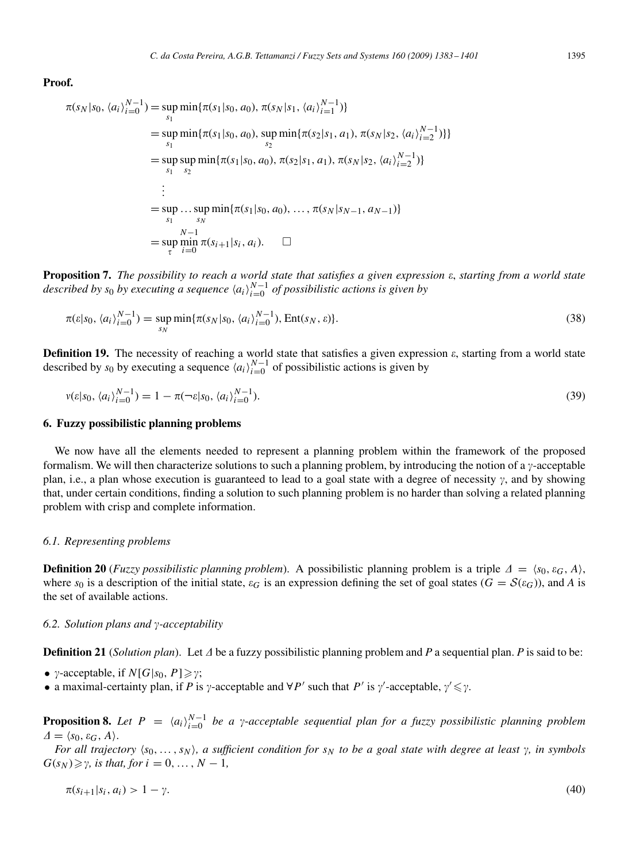**Proof.**

$$
\pi(s_N|s_0, \langle a_i \rangle_{i=0}^{N-1}) = \sup_{s_1} \min \{ \pi(s_1|s_0, a_0), \pi(s_N|s_1, \langle a_i \rangle_{i=1}^{N-1}) \}
$$
\n
$$
= \sup_{s_1} \min \{ \pi(s_1|s_0, a_0), \sup_{s_2} \min \{ \pi(s_2|s_1, a_1), \pi(s_N|s_2, \langle a_i \rangle_{i=2}^{N-1}) \} \}
$$
\n
$$
= \sup_{s_1} \sup_{s_2} \min \{ \pi(s_1|s_0, a_0), \pi(s_2|s_1, a_1), \pi(s_N|s_2, \langle a_i \rangle_{i=2}^{N-1}) \}
$$
\n
$$
\vdots
$$
\n
$$
= \sup_{s_1} \dots \sup_{s_N} \min \{ \pi(s_1|s_0, a_0), \dots, \pi(s_N|s_{N-1}, a_{N-1}) \}
$$
\n
$$
= \sup_{\tau} \min_{i=0} \pi(s_{i+1}|s_i, a_i). \square
$$

**Proposition 7.** *The possibility to reach a world state that satisfies a given expression*  $\varepsilon$ *, starting from a world state described by s*<sub>0</sub> *by executing a sequence*  $\langle a_i \rangle_{i=0}^{N-1}$  *of possibilistic actions is given by* 

$$
\pi(\varepsilon|s_0, \langle a_i \rangle_{i=0}^{N-1}) = \sup_{s_N} \min{\{\pi(s_N|s_0, \langle a_i \rangle_{i=0}^{N-1}), \text{Ent}(s_N, \varepsilon)\}}.
$$
\n(38)

**Definition 19.** The necessity of reaching a world state that satisfies a given expression  $\varepsilon$ , starting from a world state described by  $s_0$  by executing a sequence  $\langle a_i \rangle_{i=0}^{N-1}$  of possibilistic actions is given by

<span id="page-12-0"></span>
$$
v(\varepsilon|s_0, \langle a_i \rangle_{i=0}^{N-1}) = 1 - \pi(\neg \varepsilon|s_0, \langle a_i \rangle_{i=0}^{N-1}).
$$
\n(39)

## **6. Fuzzy possibilistic planning problems**

We now have all the elements needed to represent a planning problem within the framework of the proposed formalism. We will then characterize solutions to such a planning problem, by introducing the notion of a  $\gamma$ -acceptable plan, i.e., a plan whose execution is guaranteed to lead to a goal state with a degree of necessity  $\gamma$ , and by showing that, under certain conditions, finding a solution to such planning problem is no harder than solving a related planning problem with crisp and complete information.

# *6.1. Representing problems*

**Definition 20** (*Fuzzy possibilistic planning problem*). A possibilistic planning problem is a triple  $\Delta = \langle s_0, \varepsilon_G, A \rangle$ , where  $s_0$  is a description of the initial state,  $\varepsilon_G$  is an expression defining the set of goal states ( $G = \mathcal{S}(\varepsilon_G)$ ), and A is the set of available actions.

# *6.2. Solution plans and -acceptability*

**Definition 21** (*Solution plan*). Let  $\Delta$  be a fuzzy possibilistic planning problem and *P* a sequential plan. *P* is said to be:

- <span id="page-12-1"></span>•  $\gamma$ -acceptable, if  $N[G|s_0, P] \geq \gamma$ ;
- a maximal-certainty plan, if *P* is  $\gamma$ -acceptable and  $\forall P'$  such that *P'* is  $\gamma'$ -acceptable,  $\gamma' \leq \gamma$ .

**Proposition 8.** Let  $P = \langle a_i \rangle_{i=0}^{N-1}$  be a  $\gamma$ -acceptable sequential plan for a fuzzy possibilistic planning problem  $\Delta = \langle s_0, \varepsilon_G, A \rangle$ .

*For all trajectory*  $\langle s_0, \ldots, s_N \rangle$ , a sufficient condition for  $s_N$  to be a goal state with degree at least  $\gamma$ , in symbols  $G(s_N) \geq \gamma$ *, is that, for i* = 0*, ...*, *N* − 1*,* 

$$
\pi(s_{i+1}|s_i, a_i) > 1 - \gamma. \tag{40}
$$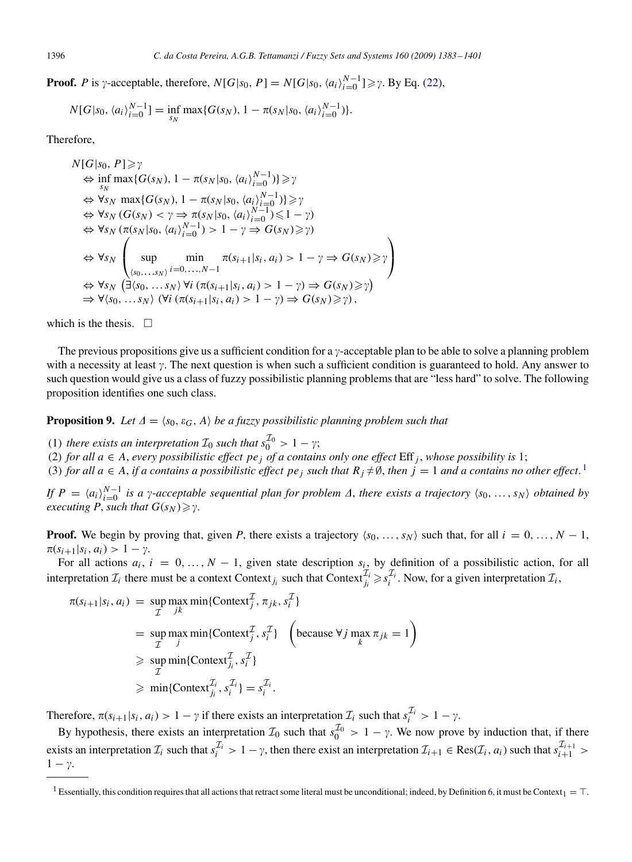**Proof.** *P* is  $\gamma$ -acceptable, therefore,  $N[G|s_0, P] = N[G|s_0, \langle a_i \rangle_{i=0}^{N-1}] \ge \gamma$ . By Eq. [\(22\)](#page-7-0),

$$
N[G|s_0, \langle a_i \rangle_{i=0}^{N-1}] = \inf_{s_N} \max\{G(s_N), 1 - \pi(s_N|s_0, \langle a_i \rangle_{i=0}^{N-1})\}.
$$

Therefore,

$$
N[G|s_0, P] \geq \gamma
$$
  
\n
$$
\Leftrightarrow \inf_{s_N} \max\{G(s_N), 1 - \pi(s_N|s_0, \langle a_i \rangle_{i=0}^{N-1})\} \geq \gamma
$$
  
\n
$$
\Leftrightarrow \forall s_N \max\{G(s_N), 1 - \pi(s_N|s_0, \langle a_i \rangle_{i=0}^{N-1})\} \geq \gamma
$$
  
\n
$$
\Leftrightarrow \forall s_N (G(s_N) < \gamma \Rightarrow \pi(s_N|s_0, \langle a_i \rangle_{i=0}^{N-1}) \leq 1 - \gamma)
$$
  
\n
$$
\Leftrightarrow \forall s_N (\pi(s_N|s_0, \langle a_i \rangle_{i=0}^{N-1}) > 1 - \gamma \Rightarrow G(s_N) \geq \gamma)
$$
  
\n
$$
\Leftrightarrow \forall s_N \left( \sup_{(s_0, \ldots s_N)} \min_{i=0, \ldots, N-1} \pi(s_{i+1}|s_i, a_i) > 1 - \gamma \Rightarrow G(s_N) \geq \gamma \right)
$$
  
\n
$$
\Leftrightarrow \forall s_N (\exists (s_0, \ldots s_N) \forall i (\pi(s_{i+1}|s_i, a_i) > 1 - \gamma) \Rightarrow G(s_N) \geq \gamma)
$$
  
\n
$$
\Rightarrow \forall (s_0, \ldots s_N) \ (\forall i (\pi(s_{i+1}|s_i, a_i) > 1 - \gamma) \Rightarrow G(s_N) \geq \gamma),
$$

which is the thesis.  $\Box$ 

<span id="page-13-1"></span>The previous propositions give us a sufficient condition for a  $\gamma$ -acceptable plan to be able to solve a planning problem with a necessity at least  $\gamma$ . The next question is when such a sufficient condition is guaranteed to hold. Any answer to such question would give us a class of fuzzy possibilistic planning problems that are "less hard" to solve. The following proposition identifies one such class.

**Proposition 9.** Let  $\Delta = \langle s_0, \varepsilon_G, A \rangle$  be a fuzzy possibilistic planning problem such that

(1) *there exists an interpretation*  $\mathcal{I}_0$  *such that*  $s_0^{20} > 1 - \gamma$ ;

(2) *for all a* ∈ *A*, *every possibilistic effect pe j of a contains only one effect* Eff *j*, *whose possibility is* 1;

(3) *for all a*  $\in$  *A*, *if a contains a possibilistic effect pe<sub>j</sub> such that R<sub>j</sub>*  $\neq$  *Ø, then j = [1](#page-13-0) and a contains no other effect.<sup>1</sup>* 

*If*  $P = \langle a_i \rangle_{i=0}^{N-1}$  is a  $\gamma$ -acceptable sequential plan for problem  $\Delta$ , there exists a trajectory  $\langle s_0, \ldots, s_N \rangle$  obtained by *executing P*, *such that*  $G(s_N) \geq \gamma$ .

**Proof.** We begin by proving that, given *P*, there exists a trajectory  $\langle s_0, \ldots, s_N \rangle$  such that, for all  $i = 0, \ldots, N - 1$ ,  $\pi(s_{i+1}|s_i, a_i) > 1 - \gamma.$ 

For all actions  $a_i$ ,  $i = 0, ..., N - 1$ , given state description  $s_i$ , by definition of a possibilistic action, for all interpretation  $\mathcal{I}_i$  there must be a context Context  $j_i$  such that Context  $\frac{1}{j_i} \geq s_i^{\perp_i}$ . Now, for a given interpretation  $\mathcal{I}_i$ ,

$$
\pi(s_{i+1}|s_i, a_i) = \sup_{\mathcal{I}} \max_{j,k} \min\{\text{Context}_{j}^{\mathcal{I}}, \pi_{jk}, s_i^{\mathcal{I}}\}
$$
  
\n
$$
= \sup_{\mathcal{I}} \max_{j} \min\{\text{Context}_{j}^{\mathcal{I}}, s_i^{\mathcal{I}}\} \quad \left(\text{because } \forall j \max_{k} \pi_{jk} = 1\right)
$$
  
\n
$$
\geq \sup_{\mathcal{I}} \min\{\text{Context}_{j_i}^{\mathcal{I}}, s_i^{\mathcal{I}}\}
$$
  
\n
$$
\geq \min\{\text{Context}_{j_i}^{\mathcal{I}}, s_i^{\mathcal{I}_i}\} = s_i^{\mathcal{I}_i}.
$$

Therefore,  $\pi(s_{i+1}|s_i, a_i) > 1 - \gamma$  if there exists an interpretation  $\mathcal{I}_i$  such that  $s_i^{\mathcal{I}_i} > 1 - \gamma$ .

By hypothesis, there exists an interpretation  $\mathcal{I}_0$  such that  $s_0^{L_0} > 1 - \gamma$ . We now prove by induction that, if there exists an interpretation  $\mathcal{I}_i$  such that  $s_i^{\mathcal{I}_i} > 1 - \gamma$ , then there exist an interpretation  $\mathcal{I}_{i+1} \in \text{Res}(\mathcal{I}_i, a_i)$  such that  $s_{i+1}^{\mathcal{I}_{i+1}} >$  $1 - \gamma$ .

<span id="page-13-0"></span><sup>&</sup>lt;sup>1</sup> Essentially, this condition requires that all actions that retract some literal must be unconditional; indeed, by Definition [6,](#page-7-1) it must be Context<sub>1</sub> =  $\top$ .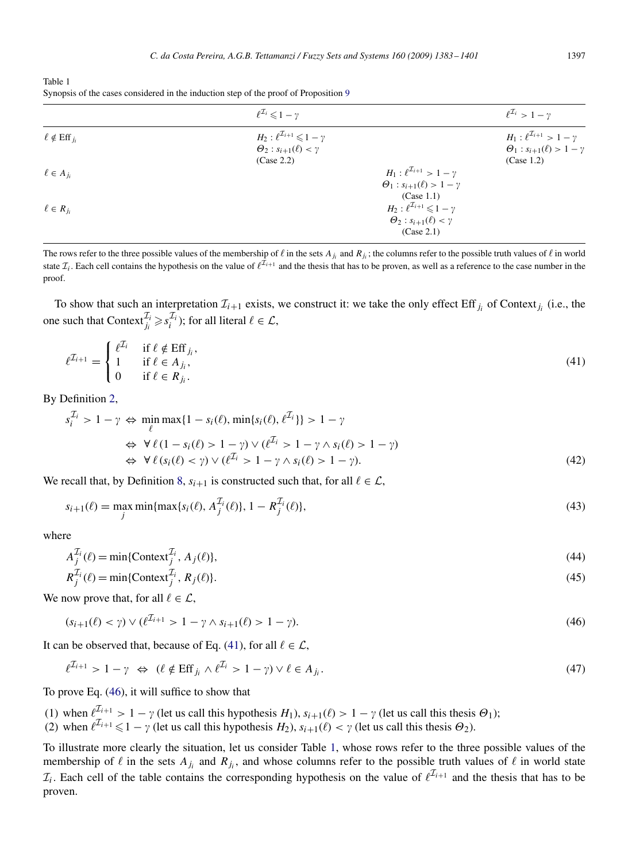Table 1 Synopsis of the cases considered in the induction step of the proof of Proposition [9](#page-13-1)

<span id="page-14-2"></span>

|                                | $\ell^{\mathcal{I}_i} \leq 1-\gamma$          | $\ell^{\mathcal{I}_i} > 1-\gamma$         |
|--------------------------------|-----------------------------------------------|-------------------------------------------|
| $\ell \notin \text{Eff}_{i_i}$ | $H_2: \ell^{\mathcal{I}_{i+1}} \leq 1-\gamma$ | $H_1: \ell^{I_{i+1}} > 1 - \gamma$        |
|                                | $\Theta_2$ : $s_{i+1}(\ell) < \gamma$         | $\Theta_1$ : $s_{i+1}(\ell) > 1 - \gamma$ |
|                                | (Case 2.2)                                    | (Case 1.2)                                |
| $\ell \in A_{i_i}$             | $H_1: \ell^{\mathcal{I}_{i+1}} > 1 - \gamma$  |                                           |
|                                | $\Theta_1$ : $s_{i+1}(\ell) > 1 - \gamma$     |                                           |
|                                | (Case 1.1)                                    |                                           |
| $\ell \in R_{i_i}$             | $H_2: \ell^{\mathcal{I}_{i+1}} \leq 1-\gamma$ |                                           |
|                                | $\Theta_2$ : $s_{i+1}(\ell) < \gamma$         |                                           |
|                                | (Case 2.1)                                    |                                           |

The rows refer to the three possible values of the membership of  $\ell$  in the sets  $A_{j_i}$  and  $R_{j_i}$ ; the columns refer to the possible truth values of  $\ell$  in world state  $\mathcal{I}_i$ . Each cell contains the hypothesis on the value of  $\ell^{L_{i+1}}$  and the thesis that has to be proven, as well as a reference to the case number in the proof.

To show that such an interpretation  $\mathcal{I}_{i+1}$  exists, we construct it: we take the only effect Eff  $j_i$  of Context  $j_i$  (i.e., the one such that Context $t_{j_i}^{\perp_i} \geq s_i^{\perp_i}$ ); for all literal  $\ell \in \mathcal{L}$ ,

<span id="page-14-0"></span>
$$
\ell^{\mathcal{I}_{i+1}} = \begin{cases} \ell^{\mathcal{I}_{i}} & \text{if } \ell \notin \text{Eff}_{j_{i}}, \\ 1 & \text{if } \ell \in A_{j_{i}}, \\ 0 & \text{if } \ell \in R_{j_{i}}. \end{cases}
$$
\n
$$
(41)
$$

By Definition [2,](#page-5-0)

$$
s_i^{\mathcal{I}_i} > 1 - \gamma \Leftrightarrow \min_{\ell} \max\{1 - s_i(\ell), \min\{s_i(\ell), \ell^{\mathcal{I}_i}\}\} > 1 - \gamma
$$
  
\n
$$
\Leftrightarrow \forall \ell \left(1 - s_i(\ell) > 1 - \gamma\right) \lor \left(\ell^{\mathcal{I}_i} > 1 - \gamma \land s_i(\ell) > 1 - \gamma\right)
$$
  
\n
$$
\Leftrightarrow \forall \ell \left(s_i(\ell) < \gamma\right) \lor \left(\ell^{\mathcal{I}_i} > 1 - \gamma \land s_i(\ell) > 1 - \gamma\right).
$$
\n(42)

We recall that, by Definition [8,](#page-9-0)  $s_{i+1}$  is constructed such that, for all  $\ell \in \mathcal{L}$ ,

$$
s_{i+1}(\ell) = \max_{j} \min\{\max\{s_i(\ell), A_j^{L_i}(\ell)\}, 1 - R_j^{L_i}(\ell)\},\tag{43}
$$

where

$$
A_j^{\mathcal{I}_i}(\ell) = \min\{\text{Context}_j^{\mathcal{I}_i}, A_j(\ell)\},\tag{44}
$$

<span id="page-14-1"></span>
$$
R_j^{\mathcal{I}_i}(\ell) = \min\{\text{Context}_j^{\mathcal{I}_i}, R_j(\ell)\}.
$$
\n(45)

We now prove that, for all  $\ell \in \mathcal{L}$ ,

$$
(s_{i+1}(\ell) < \gamma) \vee (\ell^{L_{i+1}} > 1 - \gamma \wedge s_{i+1}(\ell) > 1 - \gamma). \tag{46}
$$

It can be observed that, because of Eq. [\(41\)](#page-14-0), for all  $\ell \in \mathcal{L}$ ,

$$
\ell^{\mathcal{I}_{i+1}} > 1 - \gamma \iff (\ell \notin \text{Eff}_{j_i} \land \ell^{\mathcal{I}_i} > 1 - \gamma) \lor \ell \in A_{j_i}.\tag{47}
$$

To prove Eq. [\(46\)](#page-14-1), it will suffice to show that

- (1) when  $\ell_{\tau}^{L_{i+1}} > 1 \gamma$  (let us call this hypothesis  $H_1$ ),  $s_{i+1}(\ell) > 1 \gamma$  (let us call this thesis  $\Theta_1$ );
- (2) when  $\ell^{L_{i+1}} \leq 1 \gamma$  (let us call this hypothesis  $H_2$ ),  $s_{i+1}(\ell) < \gamma$  (let us call this thesis  $\Theta_2$ ).

To illustrate more clearly the situation, let us consider Table [1,](#page-14-2) whose rows refer to the three possible values of the membership of  $\ell$  in the sets  $A_{i_i}$  and  $R_{i_j}$ , and whose columns refer to the possible truth values of  $\ell$  in world state  $\mathcal{I}_i$ . Each cell of the table contains the corresponding hypothesis on the value of  $\ell^{L_{i+1}}$  and the thesis that has to be proven.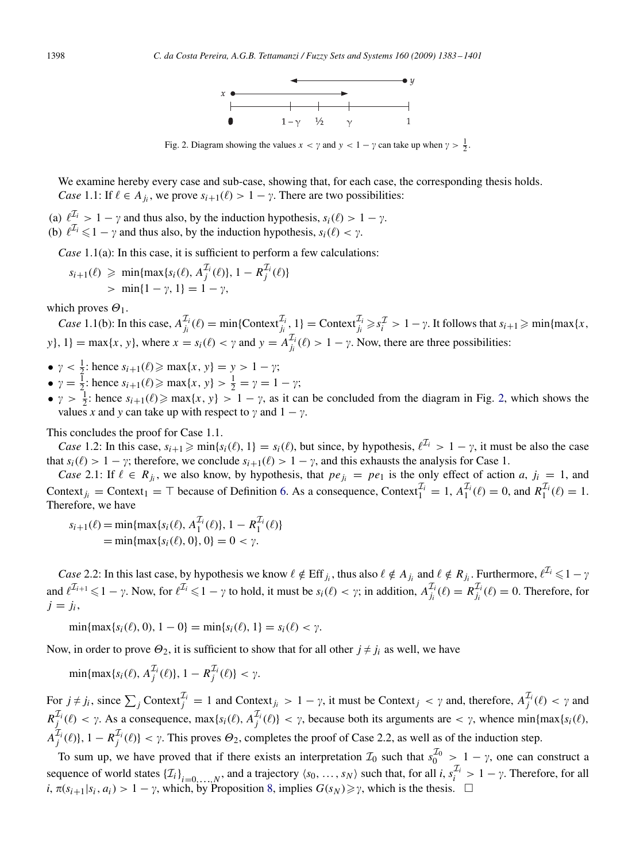

<span id="page-15-0"></span>Fig. 2. Diagram showing the values  $x < \gamma$  and  $y < 1 - \gamma$  can take up when  $\gamma > \frac{1}{2}$ .

We examine hereby every case and sub-case, showing that, for each case, the corresponding thesis holds. *Case* 1.1: If  $\ell \in A_{i}$ , we prove  $s_{i+1}(\ell) > 1 - \gamma$ . There are two possibilities:

(a)  $\ell^{i_j} > 1 - \gamma$  and thus also, by the induction hypothesis,  $s_i(\ell) > 1 - \gamma$ . (b)  $\ell^{\perp_i} \leq 1 - \gamma$  and thus also, by the induction hypothesis,  $s_i(\ell) < \gamma$ .

*Case* 1.1(a): In this case, it is sufficient to perform a few calculations:

$$
s_{i+1}(\ell) \geq \min\{\max\{s_i(\ell), A_j^{L_i}(\ell)\}, 1 - R_j^{L_i}(\ell)\}\
$$
  
> 
$$
\min\{1 - \gamma, 1\} = 1 - \gamma,
$$

which proves  $\Theta_1$ .

Case 1.1(b): In this case,  $A_{j_i}^{\perp_i}(\ell) = \min\{\text{Context}_{j_i}^{\perp_i}, 1\} = \text{Context}_{j_i}^{\perp_i} \ge s_i^{\perp} > 1 - \gamma$ . It follows that  $s_{i+1} \ge \min\{\max\{x, y_i\} \le s_i^{\perp_i}\}$ *y*}, 1} = max{*x*, *y*}, where  $x = s_i(\ell) < \gamma$  and  $y = A_{j_i}^{\ell_i}(\ell) > 1 - \gamma$ . Now, there are three possibilities:

- $\gamma < \frac{1}{2}$ : hence  $s_{i+1}(\ell) \ge \max\{x, y\} = y > 1 \gamma;$
- $\gamma = \frac{1}{2}$ : hence  $s_{i+1}(\ell) \ge \max\{x, y\} > \frac{1}{2} = \gamma = 1 \gamma$ ;
- $\gamma > \frac{1}{2}$ : hence  $s_{i+1}(\ell) \ge \max\{x, y\} > 1 \gamma$ , as it can be concluded from the diagram in Fig. [2,](#page-15-0) which shows the values *x* and *y* can take up with respect to  $\gamma$  and  $1 - \gamma$ .

This concludes the proof for Case 1.1.

*Case* 1.2: In this case,  $s_{i+1} \ge \min\{s_i(\ell), 1\} = s_i(\ell)$ , but since, by hypothesis,  $\ell^{L_i} > 1 - \gamma$ , it must be also the case that  $s_i(\ell) > 1 - \gamma$ ; therefore, we conclude  $s_{i+1}(\ell) > 1 - \gamma$ , and this exhausts the analysis for Case 1.

*Case* 2.1: If  $\ell \in R_{j_i}$ , we also know, by hypothesis, that  $pe_{j_i} = pe_1$  is the only effect of action *a*,  $j_i = 1$ , and Context<sub>*j<sub>i</sub>*</sub> = Context<sub>1</sub></sub> =  $\top$  because of Definition [6.](#page-7-1) As a consequence, Context<sub>1</sub><sup>*L<sub>i</sub>*</sup> = 1,  $A_1^{L_i}(\ell) = 0$ , and  $R_1^{L_i}(\ell) = 1$ . Therefore, we have

$$
s_{i+1}(\ell) = \min\{\max\{s_i(\ell), A_1^{\{i\}}(\ell)\}, 1 - R_1^{\{i\}}(\ell)\}
$$
  
=  $\min\{\max\{s_i(\ell), 0\}, 0\} = 0 < \gamma$ .

*Case* 2.2: In this last case, by hypothesis we know  $\ell \notin \text{Eff}_{j_i}$ , thus also  $\ell \notin A_{j_i}$  and  $\ell \notin R_{j_i}$ . Furthermore,  $\ell^{\perp_i} \leq 1 - \gamma$ and  $\ell^{L_{i+1}} \leq 1 - \gamma$ . Now, for  $\ell^{L_i} \leq 1 - \gamma$  to hold, it must be  $s_i(\ell) < \gamma$ ; in addition,  $A_{j_i}^{L_i}(\ell) = R_{j_i}^{L_i}(\ell) = 0$ . Therefore, for  $j = j_i$ ,

 $\min{\max{s_i(\ell), 0}, 1 - 0} = \min{\{s_i(\ell), 1\}} = s_i(\ell) < \gamma.$ 

Now, in order to prove  $\Theta_2$ , it is sufficient to show that for all other  $j \neq j_i$  as well, we have

$$
\min\{\max\{s_i(\ell), A_j^{\mathcal{I}_i}(\ell)\}, 1 - R_j^{\mathcal{I}_i}(\ell)\} < \gamma.
$$

For  $j \neq j_i$ , since  $\sum_j$  Context $j_i^L = 1$  and Context  $j_i > 1 - \gamma$ , it must be Context  $j < \gamma$  and, therefore,  $A_j^L(\ell) < \gamma$  and  $R_j^{L_i}(\ell) < \gamma$ . As a consequence, max $\{s_i(\ell), A_j^{L_i}(\ell)\} < \gamma$ , because both its arguments are  $< \gamma$ , whence min $\{\max\{s_i(\ell), A_j^{L_i}(\ell)\} < \gamma\}$  $A_j^{\perp_i}(\ell)$ ,  $1 - R_j^{\perp_i}(\ell)$ } <  $\gamma$ . This proves  $\Theta_2$ , completes the proof of Case 2.2, as well as of the induction step.

To sum up, we have proved that if there exists an interpretation  $\mathcal{I}_0$  such that  $s_0^{20} > 1 - \gamma$ , one can construct a sequence of world states  ${\{\mathcal{I}_i\}}_{i=0,\ldots,N}$ , and a trajectory  $\langle s_0,\ldots,s_N\rangle$  such that, for all  $i, s_i^{\perp_i} > 1 - \gamma$ . Therefore, for all *i*,  $\pi(s_{i+1}|s_i, a_i) > 1 - \gamma$ , which, by Proposition [8,](#page-12-1) implies  $G(s_N) \ge \gamma$ , which is the thesis. □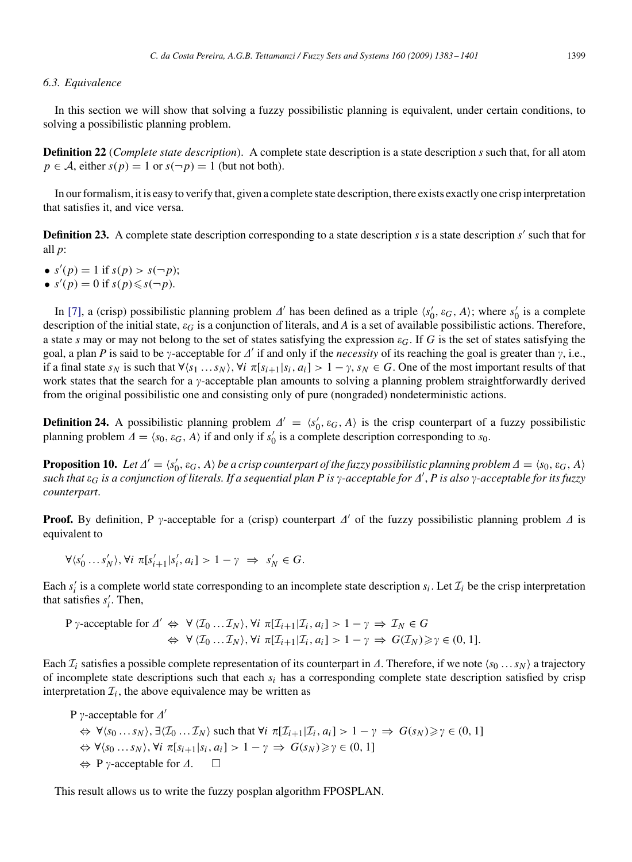## *6.3. Equivalence*

In this section we will show that solving a fuzzy possibilistic planning is equivalent, under certain conditions, to solving a possibilistic planning problem.

**Definition 22** (*Complete state description*). A complete state description is a state description *s* such that, for all atom  $p \in A$ , either  $s(p) = 1$  or  $s(\neg p) = 1$  (but not both).

In our formalism, it is easy to verify that, given a complete state description, there exists exactly one crisp interpretation that satisfies it, and vice versa.

**Definition 23.** A complete state description corresponding to a state description  $s$  is a state description  $s'$  such that for all *p*:

- $s'(p) = 1$  if  $s(p) > s(\neg p)$ ;
- $s'(p) = 0$  if  $s(p) \leq s(\neg p)$ .

In [\[7\],](#page-17-1) a (crisp) possibilistic planning problem  $\Delta'$  has been defined as a triple  $\langle s'_0, \varepsilon_G, A \rangle$ ; where  $s'_0$  is a complete description of the initial state,  $\varepsilon_G$  is a conjunction of literals, and A is a set of available possibilistic actions. Therefore, a state *s* may or may not belong to the set of states satisfying the expression  $\varepsilon_G$ . If *G* is the set of states satisfying the goal, a plan *P* is said to be  $\gamma$ -acceptable for  $\Delta'$  if and only if the *necessity* of its reaching the goal is greater than  $\gamma$ , i.e., if a final state  $s_N$  is such that  $\forall (s_1 \dots s_N), \forall i \pi [s_{i+1} | s_i, a_i] > 1 - \gamma, s_N \in G$ . One of the most important results of that work states that the search for a  $\gamma$ -acceptable plan amounts to solving a planning problem straightforwardly derived from the original possibilistic one and consisting only of pure (nongraded) nondeterministic actions.

**Definition 24.** A possibilistic planning problem  $A' = \langle s'_0, \varepsilon_G, A \rangle$  is the crisp counterpart of a fuzzy possibilistic planning problem  $\Lambda = \langle s_0, \varepsilon_G, A \rangle$  if and only if  $s'_0$  is a complete description corresponding to  $s_0$ .

**Proposition 10.** Let  $\Delta' = \langle s'_0, s_G, A \rangle$  be a crisp counterpart of the fuzzy possibilistic planning problem  $\Delta = \langle s_0, s_G, A \rangle$ *such that <sup>G</sup> is a conjunction of literals. If a sequential plan P is* -*acceptable for* , *P is also* -*acceptable for its fuzzy counterpart*.

**Proof.** By definition, P  $\gamma$ -acceptable for a (crisp) counterpart  $\Delta'$  of the fuzzy possibilistic planning problem  $\Delta$  is equivalent to

$$
\forall \langle s'_0 \dots s'_N \rangle, \forall i \ \pi [s'_{i+1} | s'_i, a_i] > 1 - \gamma \ \Rightarrow \ s'_N \in G.
$$

Each  $s_i$  is a complete world state corresponding to an incomplete state description  $s_i$ . Let  $\mathcal{I}_i$  be the crisp interpretation that satisfies  $s_i'$ . Then,

$$
\begin{aligned} \text{P } \gamma \text{-acceptable for } \varDelta' &\Leftrightarrow \ \forall \ \langle \mathcal{I}_0 \dots \mathcal{I}_N \rangle, \ \forall i \ \pi[\mathcal{I}_{i+1} | \mathcal{I}_i, a_i] > 1 - \gamma \Rightarrow \mathcal{I}_N \in G \\ &\Leftrightarrow \ \forall \ \langle \mathcal{I}_0 \dots \mathcal{I}_N \rangle, \ \forall i \ \pi[\mathcal{I}_{i+1} | \mathcal{I}_i, a_i] > 1 - \gamma \Rightarrow G(\mathcal{I}_N) \geq \gamma \in (0, 1]. \end{aligned}
$$

Each  $\mathcal{I}_i$  satisfies a possible complete representation of its counterpart in  $\Lambda$ . Therefore, if we note  $\langle s_0 \dots s_N \rangle$  a trajectory of incomplete state descriptions such that each  $s_i$  has a corresponding complete state description satisfied by crisp interpretation  $\mathcal{I}_i$ , the above equivalence may be written as

```
P \gamma-acceptable for \Delta'
```
 $\Leftrightarrow \forall (s_0 \dots s_N), \exists (I_0 \dots I_N) \text{ such that } \forall i \pi [I_{i+1} | I_i, a_i] > 1 - \gamma \Rightarrow G(s_N) \ge \gamma \in (0, 1]$  $\Leftrightarrow \forall (s_0 \dots s_N), \forall i \pi [s_{i+1} | s_i, a_i] > 1 - \gamma \Rightarrow G(s_N) \ge \gamma \in (0, 1]$  $\Leftrightarrow$  P  $\gamma$ -acceptable for  $\Delta$ .  $\square$ 

This result allows us to write the fuzzy posplan algorithm FPOSPLAN.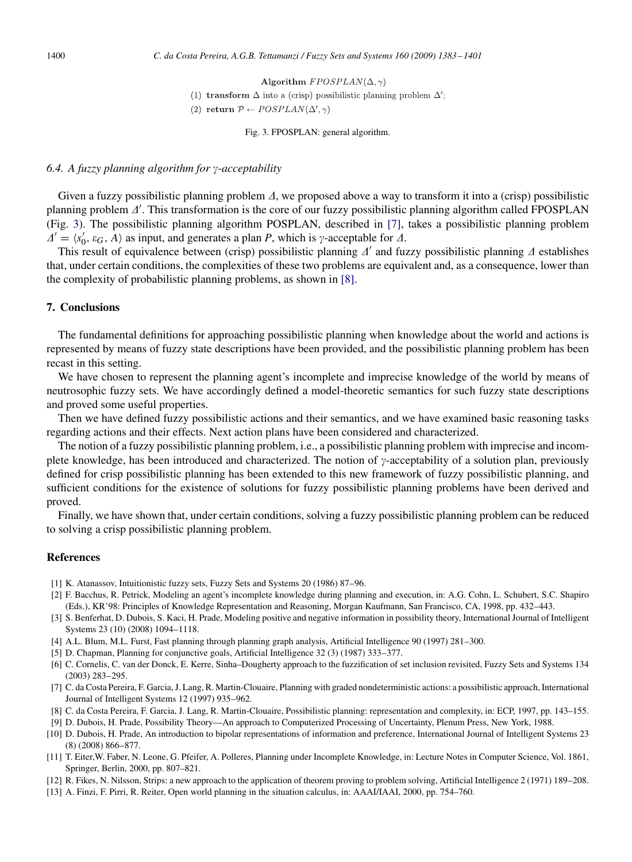1400 *C. da Costa Pereira, A.G.B. Tettamanzi / Fuzzy Sets and Systems 160 (2009) 1383* –*1401*

Algorithm  $FPOSPLAN(\Delta, \gamma)$ (1) transform  $\Delta$  into a (crisp) possibilistic planning problem  $\Delta'$ ;

(2) return  $P \leftarrow POSPLAN(\Delta', \gamma)$ 

<span id="page-17-13"></span>Fig. 3. FPOSPLAN: general algorithm.

#### *6.4. A fuzzy planning algorithm for -acceptability*

Given a fuzzy possibilistic planning problem  $\Lambda$ , we proposed above a way to transform it into a (crisp) possibilistic planning problem  $\Delta'$ . This transformation is the core of our fuzzy possibilistic planning algorithm called FPOSPLAN (Fig. [3\)](#page-17-13). The possibilistic planning algorithm POSPLAN, described in [\[7\],](#page-17-1) takes a possibilistic planning problem  $\Delta' = \langle s'_0, s_G, A \rangle$  as input, and generates a plan *P*, which is  $\gamma$ -acceptable for  $\Delta$ .

This result of equivalence between (crisp) possibilistic planning  $\Delta'$  and fuzzy possibilistic planning  $\Delta$  establishes that, under certain conditions, the complexities of these two problems are equivalent and, as a consequence, lower than the complexity of probabilistic planning problems, as shown in [\[8\].](#page-17-14)

## <span id="page-17-7"></span>**7. Conclusions**

The fundamental definitions for approaching possibilistic planning when knowledge about the world and actions is represented by means of fuzzy state descriptions have been provided, and the possibilistic planning problem has been recast in this setting.

We have chosen to represent the planning agent's incomplete and imprecise knowledge of the world by means of neutrosophic fuzzy sets. We have accordingly defined a model-theoretic semantics for such fuzzy state descriptions and proved some useful properties.

Then we have defined fuzzy possibilistic actions and their semantics, and we have examined basic reasoning tasks regarding actions and their effects. Next action plans have been considered and characterized.

The notion of a fuzzy possibilistic planning problem, i.e., a possibilistic planning problem with imprecise and incomplete knowledge, has been introduced and characterized. The notion of  $\gamma$ -acceptability of a solution plan, previously defined for crisp possibilistic planning has been extended to this new framework of fuzzy possibilistic planning, and sufficient conditions for the existence of solutions for fuzzy possibilistic planning problems have been derived and proved.

Finally, we have shown that, under certain conditions, solving a fuzzy possibilistic planning problem can be reduced to solving a crisp possibilistic planning problem.

# <span id="page-17-10"></span>**References**

- <span id="page-17-3"></span>[1] K. Atanassov, Intuitionistic fuzzy sets, Fuzzy Sets and Systems 20 (1986) 87–96.
- <span id="page-17-11"></span>[2] F. Bacchus, R. Petrick, Modeling an agent's incomplete knowledge during planning and execution, in: A.G. Cohn, L. Schubert, S.C. Shapiro (Eds.), KR'98: Principles of Knowledge Representation and Reasoning, Morgan Kaufmann, San Francisco, CA, 1998, pp. 432–443.
- <span id="page-17-4"></span>[3] S. Benferhat, D. Dubois, S. Kaci, H. Prade, Modeling positive and negative information in possibility theory, International Journal of Intelligent Systems 23 (10) (2008) 1094–1118.
- <span id="page-17-9"></span><span id="page-17-0"></span>[4] A.L. Blum, M.L. Furst, Fast planning through planning graph analysis, Artificial Intelligence 90 (1997) 281–300.
- [5] D. Chapman, Planning for conjunctive goals, Artificial Intelligence 32 (3) (1987) 333–377.
- <span id="page-17-1"></span>[6] C. Cornelis, C. van der Donck, E. Kerre, Sinha–Dougherty approach to the fuzzification of set inclusion revisited, Fuzzy Sets and Systems 134 (2003) 283–295.
- <span id="page-17-14"></span><span id="page-17-8"></span>[7] C. da Costa Pereira, F. Garcia, J. Lang, R. Martin-Clouaire, Planning with graded nondeterministic actions: a possibilistic approach, International Journal of Intelligent Systems 12 (1997) 935–962.
- <span id="page-17-12"></span>[8] C. da Costa Pereira, F. Garcia, J. Lang, R. Martin-Clouaire, Possibilistic planning: representation and complexity, in: ECP, 1997, pp. 143–155.

<span id="page-17-2"></span>[9] D. Dubois, H. Prade, Possibility Theory—An approach to Computerized Processing of Uncertainty, Plenum Press, New York, 1988.

- [10] D. Dubois, H. Prade, An introduction to bipolar representations of information and preference, International Journal of Intelligent Systems 23 (8) (2008) 866–877.
- <span id="page-17-6"></span><span id="page-17-5"></span>[11] T. Eiter,W. Faber, N. Leone, G. Pfeifer, A. Polleres, Planning under Incomplete Knowledge, in: Lecture Notes in Computer Science, Vol. 1861, Springer, Berlin, 2000, pp. 807–821.
- [12] R. Fikes, N. Nilsson, Strips: a new approach to the application of theorem proving to problem solving, Artificial Intelligence 2 (1971) 189–208.
- [13] A. Finzi, F. Pirri, R. Reiter, Open world planning in the situation calculus, in: AAAI/IAAI, 2000, pp. 754–760.